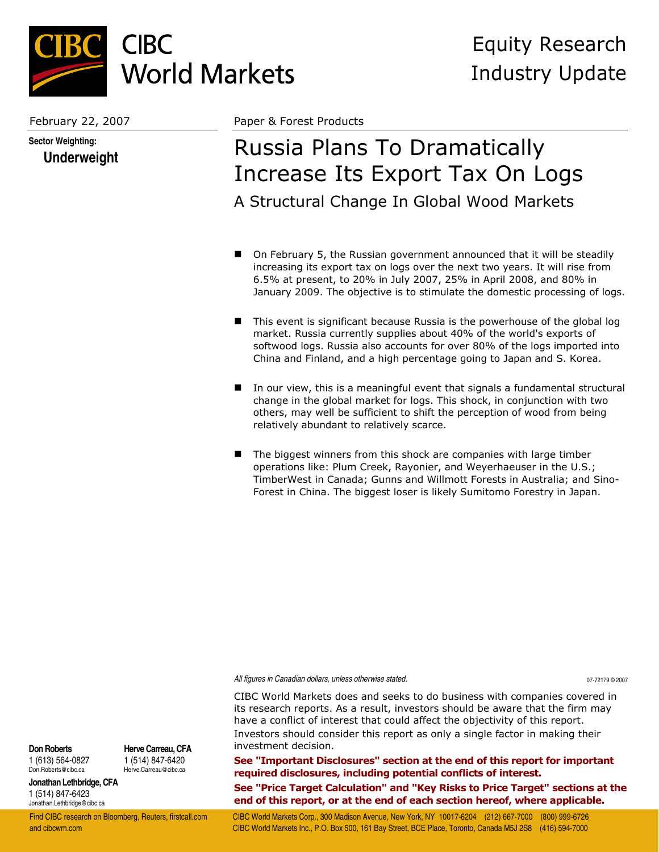

**Sector Weighting: Underweight**

February 22, 2007 Paper & Forest Products

# Russia Plans To Dramatically Increase Its Export Tax On Logs A Structural Change In Global Wood Markets

- On February 5, the Russian government announced that it will be steadily increasing its export tax on logs over the next two years. It will rise from 6.5% at present, to 20% in July 2007, 25% in April 2008, and 80% in January 2009. The objective is to stimulate the domestic processing of logs.
- This event is significant because Russia is the powerhouse of the global log market. Russia currently supplies about 40% of the world's exports of softwood logs. Russia also accounts for over 80% of the logs imported into China and Finland, and a high percentage going to Japan and S. Korea.
- In our view, this is a meaningful event that signals a fundamental structural change in the global market for logs. This shock, in conjunction with two others, may well be sufficient to shift the perception of wood from being relatively abundant to relatively scarce.
- The biggest winners from this shock are companies with large timber operations like: Plum Creek, Rayonier, and Weyerhaeuser in the U.S.; TimberWest in Canada; Gunns and Willmott Forests in Australia; and Sino-Forest in China. The biggest loser is likely Sumitomo Forestry in Japan.

*All figures in Canadian dollars, unless otherwise stated.* 07-72179 © 2007

CIBC World Markets does and seeks to do business with companies covered in its research reports. As a result, investors should be aware that the firm may have a conflict of interest that could affect the objectivity of this report. Investors should consider this report as only a single factor in making their investment decision.

**See "Important Disclosures" section at the end of this report for important required disclosures, including potential conflicts of interest. See "Price Target Calculation" and "Key Risks to Price Target" sections at the end of this report, or at the end of each section hereof, where applicable.** 

**Don Roberts** 1 (613) 564-0827 Don.Roberts@cibc.ca

**Herve Carreau, CFA** 1 (514) 847-6420 Herve.Carreau@cibc.ca

**Jonathan Lethbridge, CFA** 1 (514) 847-6423 Jonathan.Lethbridge@cibc.ca

Find CIBC research on Bloomberg, Reuters, firstcall.com CIBC World Markets Corp., 300 Madison Avenue, New York, NY 10017-6204 (212) 667-7000 (800) 999-6726 and cibcwm.com CIBC World Markets Inc., P.O. Box 500, 161 Bay Street, BCE Place, Toronto, Canada M5J 2S8 (416) 594-7000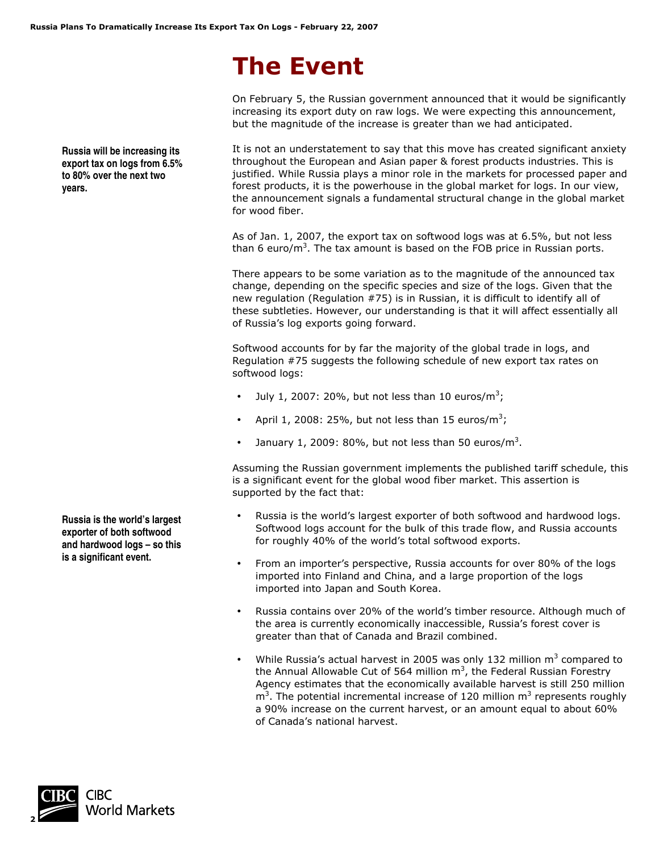# **The Event**

On February 5, the Russian government announced that it would be significantly increasing its export duty on raw logs. We were expecting this announcement, but the magnitude of the increase is greater than we had anticipated.

It is not an understatement to say that this move has created significant anxiety throughout the European and Asian paper & forest products industries. This is justified. While Russia plays a minor role in the markets for processed paper and forest products, it is the powerhouse in the global market for logs. In our view, the announcement signals a fundamental structural change in the global market for wood fiber.

As of Jan. 1, 2007, the export tax on softwood logs was at 6.5%, but not less than 6 euro/m<sup>3</sup>. The tax amount is based on the FOB price in Russian ports.

There appears to be some variation as to the magnitude of the announced tax change, depending on the specific species and size of the logs. Given that the new regulation (Regulation #75) is in Russian, it is difficult to identify all of these subtleties. However, our understanding is that it will affect essentially all of Russia's log exports going forward.

Softwood accounts for by far the majority of the global trade in logs, and Regulation #75 suggests the following schedule of new export tax rates on softwood logs:

- July 1, 2007: 20%, but not less than 10 euros/ $m^3$ ;
- April 1, 2008: 25%, but not less than 15 euros/m<sup>3</sup>;
- January 1, 2009: 80%, but not less than 50 euros/ $m^3$ .

Assuming the Russian government implements the published tariff schedule, this is a significant event for the global wood fiber market. This assertion is supported by the fact that:

- Russia is the world's largest exporter of both softwood and hardwood logs. Softwood logs account for the bulk of this trade flow, and Russia accounts for roughly 40% of the world's total softwood exports.
- From an importer's perspective, Russia accounts for over 80% of the logs imported into Finland and China, and a large proportion of the logs imported into Japan and South Korea.
- Russia contains over 20% of the world's timber resource. Although much of the area is currently economically inaccessible, Russia's forest cover is greater than that of Canada and Brazil combined.
- While Russia's actual harvest in 2005 was only 132 million  $m<sup>3</sup>$  compared to the Annual Allowable Cut of 564 million  $m^3$ , the Federal Russian Forestry Agency estimates that the economically available harvest is still 250 million  $m<sup>3</sup>$ . The potential incremental increase of 120 million  $m<sup>3</sup>$  represents roughly a 90% increase on the current harvest, or an amount equal to about 60% of Canada's national harvest.

**Russia is the world's largest exporter of both softwood and hardwood logs – so this is a significant event.**



**Russia will be increasing its export tax on logs from 6.5% to 80% over the next two years.**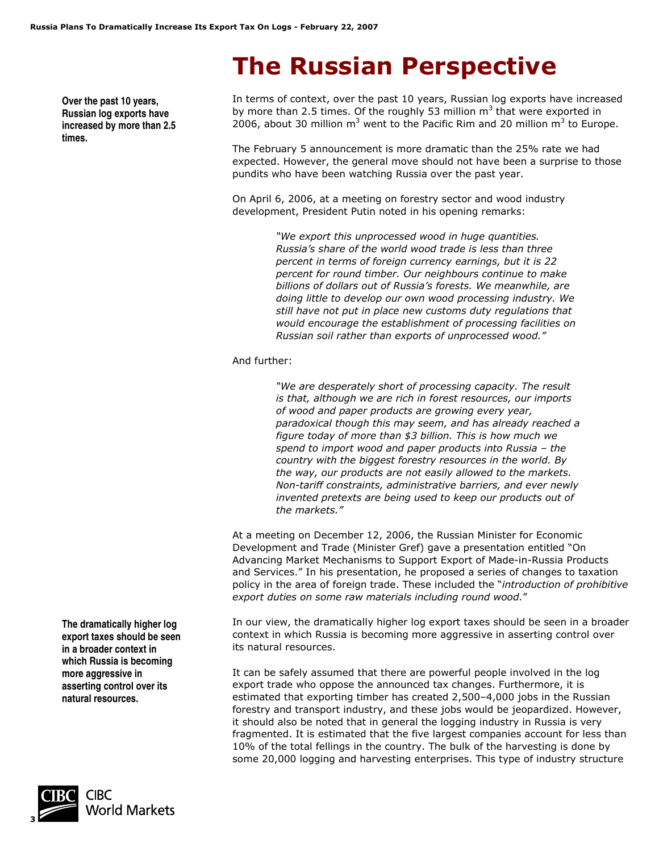# **The Russian Perspective**

**Over the past 10 years, Russian log exports have increased by more than 2.5 times.** 

In terms of context, over the past 10 years, Russian log exports have increased by more than 2.5 times. Of the roughly 53 million  $m<sup>3</sup>$  that were exported in 2006, about 30 million  $m^3$  went to the Pacific Rim and 20 million  $m^3$  to Europe.

The February 5 announcement is more dramatic than the 25% rate we had expected. However, the general move should not have been a surprise to those pundits who have been watching Russia over the past year.

On April 6, 2006, at a meeting on forestry sector and wood industry development, President Putin noted in his opening remarks:

> *"We export this unprocessed wood in huge quantities. Russia's share of the world wood trade is less than three percent in terms of foreign currency earnings, but it is 22 percent for round timber. Our neighbours continue to make billions of dollars out of Russia's forests. We meanwhile, are doing little to develop our own wood processing industry. We still have not put in place new customs duty regulations that would encourage the establishment of processing facilities on Russian soil rather than exports of unprocessed wood."*

#### And further:

*"We are desperately short of processing capacity. The result is that, although we are rich in forest resources, our imports of wood and paper products are growing every year, paradoxical though this may seem, and has already reached a figure today of more than \$3 billion. This is how much we spend to import wood and paper products into Russia – the country with the biggest forestry resources in the world. By the way, our products are not easily allowed to the markets. Non-tariff constraints, administrative barriers, and ever newly invented pretexts are being used to keep our products out of the markets."* 

At a meeting on December 12, 2006, the Russian Minister for Economic Development and Trade (Minister Gref) gave a presentation entitled "On Advancing Market Mechanisms to Support Export of Made-in-Russia Products and Services." In his presentation, he proposed a series of changes to taxation policy in the area of foreign trade. These included the "*introduction of prohibitive export duties on some raw materials including round wood.*"

In our view, the dramatically higher log export taxes should be seen in a broader context in which Russia is becoming more aggressive in asserting control over its natural resources.

It can be safely assumed that there are powerful people involved in the log export trade who oppose the announced tax changes. Furthermore, it is estimated that exporting timber has created 2,500–4,000 jobs in the Russian forestry and transport industry, and these jobs would be jeopardized. However, it should also be noted that in general the logging industry in Russia is very fragmented. It is estimated that the five largest companies account for less than 10% of the total fellings in the country. The bulk of the harvesting is done by some 20,000 logging and harvesting enterprises. This type of industry structure

**The dramatically higher log export taxes should be seen in a broader context in which Russia is becoming more aggressive in asserting control over its natural resources.** 

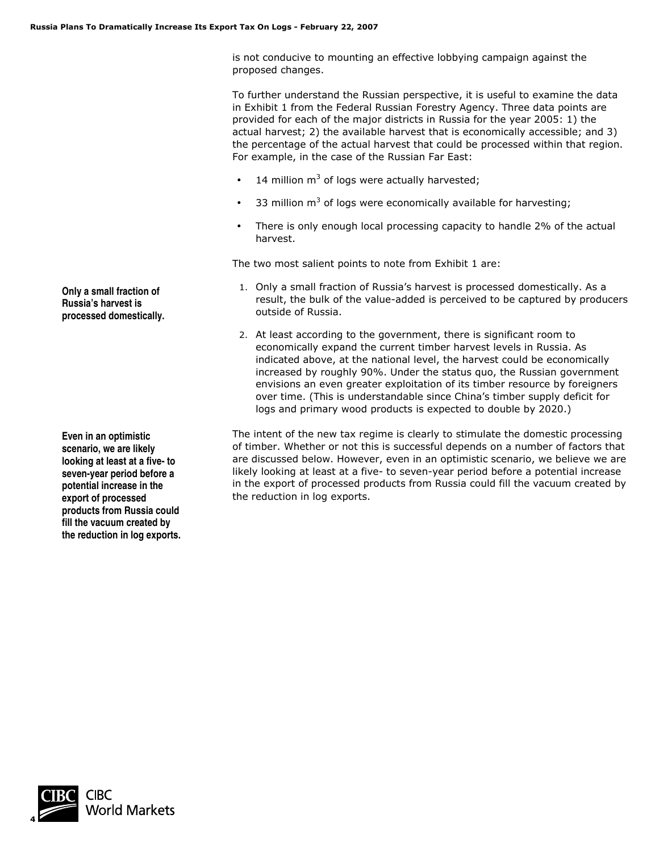is not conducive to mounting an effective lobbying campaign against the proposed changes.

To further understand the Russian perspective, it is useful to examine the data in Exhibit 1 from the Federal Russian Forestry Agency. Three data points are provided for each of the major districts in Russia for the year 2005: 1) the actual harvest; 2) the available harvest that is economically accessible; and 3) the percentage of the actual harvest that could be processed within that region. For example, in the case of the Russian Far East:

- 14 million  $m^3$  of logs were actually harvested;
- 33 million  $m<sup>3</sup>$  of logs were economically available for harvesting;
- There is only enough local processing capacity to handle 2% of the actual harvest.

The two most salient points to note from Exhibit 1 are:

- 1. Only a small fraction of Russia's harvest is processed domestically. As a result, the bulk of the value-added is perceived to be captured by producers outside of Russia.
- 2. At least according to the government, there is significant room to economically expand the current timber harvest levels in Russia. As indicated above, at the national level, the harvest could be economically increased by roughly 90%. Under the status quo, the Russian government envisions an even greater exploitation of its timber resource by foreigners over time. (This is understandable since China's timber supply deficit for logs and primary wood products is expected to double by 2020.)

The intent of the new tax regime is clearly to stimulate the domestic processing of timber. Whether or not this is successful depends on a number of factors that are discussed below. However, even in an optimistic scenario, we believe we are likely looking at least at a five- to seven-year period before a potential increase in the export of processed products from Russia could fill the vacuum created by the reduction in log exports.

**Only a small fraction of Russia's harvest is processed domestically.** 

**Even in an optimistic scenario, we are likely looking at least at a five- to seven-year period before a potential increase in the export of processed products from Russia could fill the vacuum created by the reduction in log exports.** 

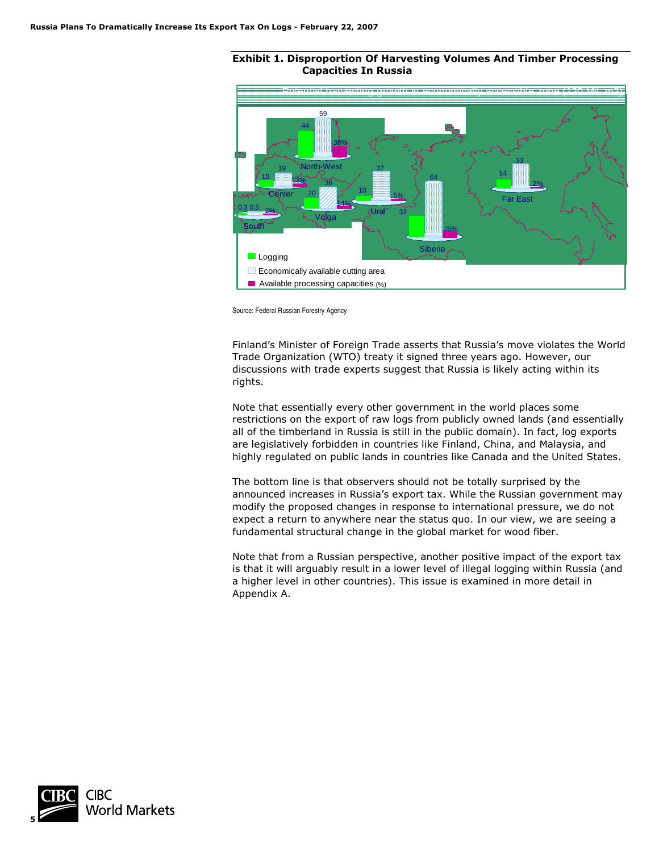#### **Exhibit 1. Disproportion Of Harvesting Volumes And Timber Processing Capacities In Russia**



Source: Federal Russian Forestry Agency

Finland's Minister of Foreign Trade asserts that Russia's move violates the World Trade Organization (WTO) treaty it signed three years ago. However, our discussions with trade experts suggest that Russia is likely acting within its rights.

Note that essentially every other government in the world places some restrictions on the export of raw logs from publicly owned lands (and essentially all of the timberland in Russia is still in the public domain). In fact, log exports are legislatively forbidden in countries like Finland, China, and Malaysia, and highly regulated on public lands in countries like Canada and the United States.

The bottom line is that observers should not be totally surprised by the announced increases in Russia's export tax. While the Russian government may modify the proposed changes in response to international pressure, we do not expect a return to anywhere near the status quo. In our view, we are seeing a fundamental structural change in the global market for wood fiber.

Note that from a Russian perspective, another positive impact of the export tax is that it will arguably result in a lower level of illegal logging within Russia (and a higher level in other countries). This issue is examined in more detail in Appendix A.

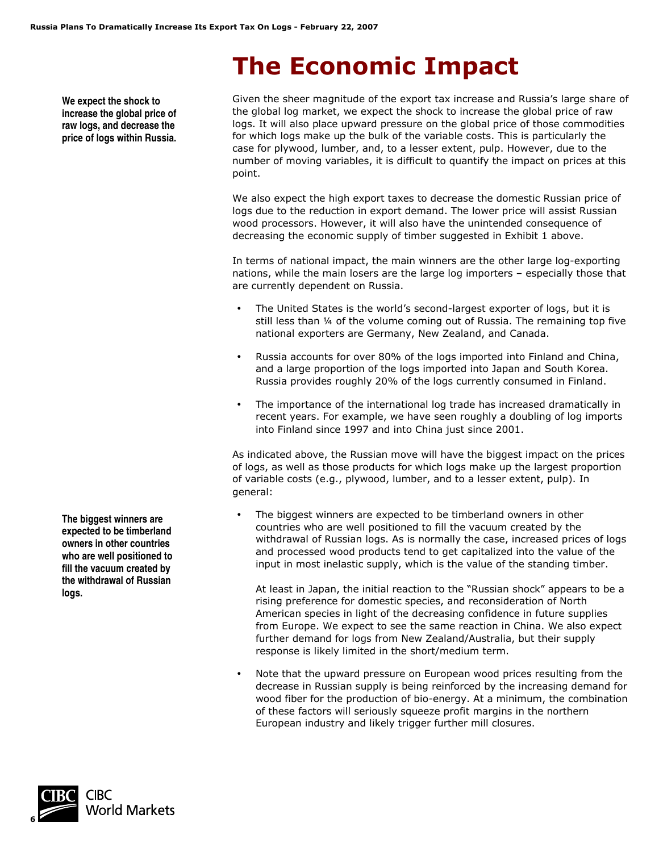# **The Economic Impact**

**We expect the shock to increase the global price of raw logs, and decrease the price of logs within Russia.**

Given the sheer magnitude of the export tax increase and Russia's large share of the global log market, we expect the shock to increase the global price of raw logs. It will also place upward pressure on the global price of those commodities for which logs make up the bulk of the variable costs. This is particularly the case for plywood, lumber, and, to a lesser extent, pulp. However, due to the number of moving variables, it is difficult to quantify the impact on prices at this point.

We also expect the high export taxes to decrease the domestic Russian price of logs due to the reduction in export demand. The lower price will assist Russian wood processors. However, it will also have the unintended consequence of decreasing the economic supply of timber suggested in Exhibit 1 above.

In terms of national impact, the main winners are the other large log-exporting nations, while the main losers are the large log importers – especially those that are currently dependent on Russia.

- The United States is the world's second-largest exporter of logs, but it is still less than ¼ of the volume coming out of Russia. The remaining top five national exporters are Germany, New Zealand, and Canada.
- Russia accounts for over 80% of the logs imported into Finland and China, and a large proportion of the logs imported into Japan and South Korea. Russia provides roughly 20% of the logs currently consumed in Finland.
- The importance of the international log trade has increased dramatically in recent years. For example, we have seen roughly a doubling of log imports into Finland since 1997 and into China just since 2001.

As indicated above, the Russian move will have the biggest impact on the prices of logs, as well as those products for which logs make up the largest proportion of variable costs (e.g., plywood, lumber, and to a lesser extent, pulp). In general:

The biggest winners are expected to be timberland owners in other countries who are well positioned to fill the vacuum created by the withdrawal of Russian logs. As is normally the case, increased prices of logs and processed wood products tend to get capitalized into the value of the input in most inelastic supply, which is the value of the standing timber.

At least in Japan, the initial reaction to the "Russian shock" appears to be a rising preference for domestic species, and reconsideration of North American species in light of the decreasing confidence in future supplies from Europe. We expect to see the same reaction in China. We also expect further demand for logs from New Zealand/Australia, but their supply response is likely limited in the short/medium term.

• Note that the upward pressure on European wood prices resulting from the decrease in Russian supply is being reinforced by the increasing demand for wood fiber for the production of bio-energy. At a minimum, the combination of these factors will seriously squeeze profit margins in the northern European industry and likely trigger further mill closures.

**The biggest winners are expected to be timberland owners in other countries who are well positioned to fill the vacuum created by the withdrawal of Russian logs.** 

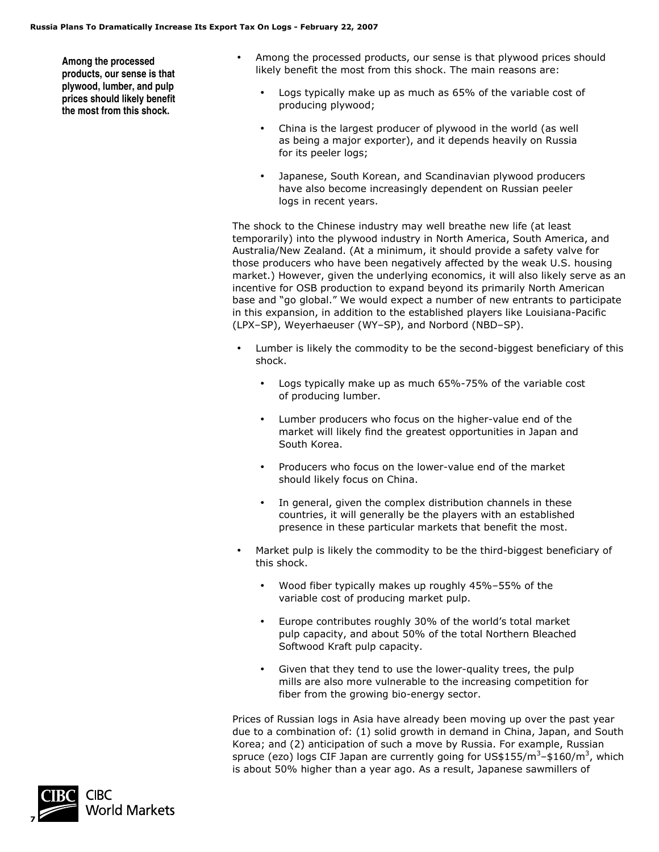**Among the processed products, our sense is that plywood, lumber, and pulp prices should likely benefit the most from this shock.** 

- Among the processed products, our sense is that plywood prices should likely benefit the most from this shock. The main reasons are:
	- Logs typically make up as much as 65% of the variable cost of producing plywood;
	- China is the largest producer of plywood in the world (as well as being a major exporter), and it depends heavily on Russia for its peeler logs;
	- Japanese, South Korean, and Scandinavian plywood producers have also become increasingly dependent on Russian peeler logs in recent years.

The shock to the Chinese industry may well breathe new life (at least temporarily) into the plywood industry in North America, South America, and Australia/New Zealand. (At a minimum, it should provide a safety valve for those producers who have been negatively affected by the weak U.S. housing market.) However, given the underlying economics, it will also likely serve as an incentive for OSB production to expand beyond its primarily North American base and "go global." We would expect a number of new entrants to participate in this expansion, in addition to the established players like Louisiana-Pacific (LPX–SP), Weyerhaeuser (WY–SP), and Norbord (NBD–SP).

- Lumber is likely the commodity to be the second-biggest beneficiary of this shock.
	- Logs typically make up as much 65%-75% of the variable cost of producing lumber.
	- Lumber producers who focus on the higher-value end of the market will likely find the greatest opportunities in Japan and South Korea.
	- Producers who focus on the lower-value end of the market should likely focus on China.
	- In general, given the complex distribution channels in these countries, it will generally be the players with an established presence in these particular markets that benefit the most.
- Market pulp is likely the commodity to be the third-biggest beneficiary of this shock.
	- Wood fiber typically makes up roughly 45%–55% of the variable cost of producing market pulp.
	- Europe contributes roughly 30% of the world's total market pulp capacity, and about 50% of the total Northern Bleached Softwood Kraft pulp capacity.
	- Given that they tend to use the lower-quality trees, the pulp mills are also more vulnerable to the increasing competition for fiber from the growing bio-energy sector.

Prices of Russian logs in Asia have already been moving up over the past year due to a combination of: (1) solid growth in demand in China, Japan, and South Korea; and (2) anticipation of such a move by Russia. For example, Russian spruce (ezo) logs CIF Japan are currently going for US\$155/m<sup>3</sup>-\$160/m<sup>3</sup>, which is about 50% higher than a year ago. As a result, Japanese sawmillers of

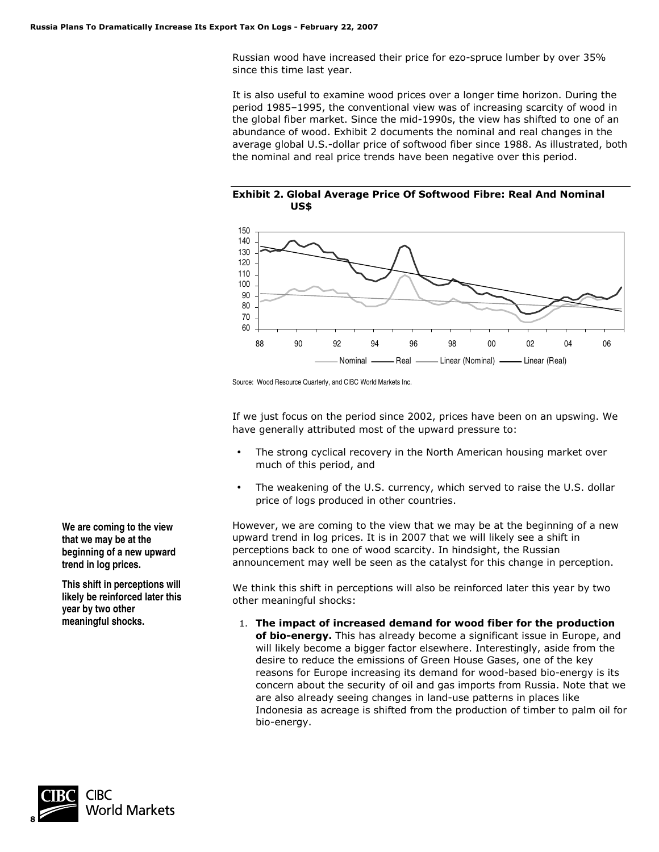Russian wood have increased their price for ezo-spruce lumber by over 35% since this time last year.

It is also useful to examine wood prices over a longer time horizon. During the period 1985–1995, the conventional view was of increasing scarcity of wood in the global fiber market. Since the mid-1990s, the view has shifted to one of an abundance of wood. Exhibit 2 documents the nominal and real changes in the average global U.S.-dollar price of softwood fiber since 1988. As illustrated, both the nominal and real price trends have been negative over this period.





Source: Wood Resource Quarterly, and CIBC World Markets Inc.

If we just focus on the period since 2002, prices have been on an upswing. We have generally attributed most of the upward pressure to:

- The strong cyclical recovery in the North American housing market over much of this period, and
- The weakening of the U.S. currency, which served to raise the U.S. dollar price of logs produced in other countries.

However, we are coming to the view that we may be at the beginning of a new upward trend in log prices. It is in 2007 that we will likely see a shift in perceptions back to one of wood scarcity. In hindsight, the Russian announcement may well be seen as the catalyst for this change in perception.

We think this shift in perceptions will also be reinforced later this year by two other meaningful shocks:

1. **The impact of increased demand for wood fiber for the production of bio-energy.** This has already become a significant issue in Europe, and will likely become a bigger factor elsewhere. Interestingly, aside from the desire to reduce the emissions of Green House Gases, one of the key reasons for Europe increasing its demand for wood-based bio-energy is its concern about the security of oil and gas imports from Russia. Note that we are also already seeing changes in land-use patterns in places like Indonesia as acreage is shifted from the production of timber to palm oil for bio-energy.

**We are coming to the view that we may be at the beginning of a new upward trend in log prices.** 

**This shift in perceptions will likely be reinforced later this year by two other meaningful shocks.** 

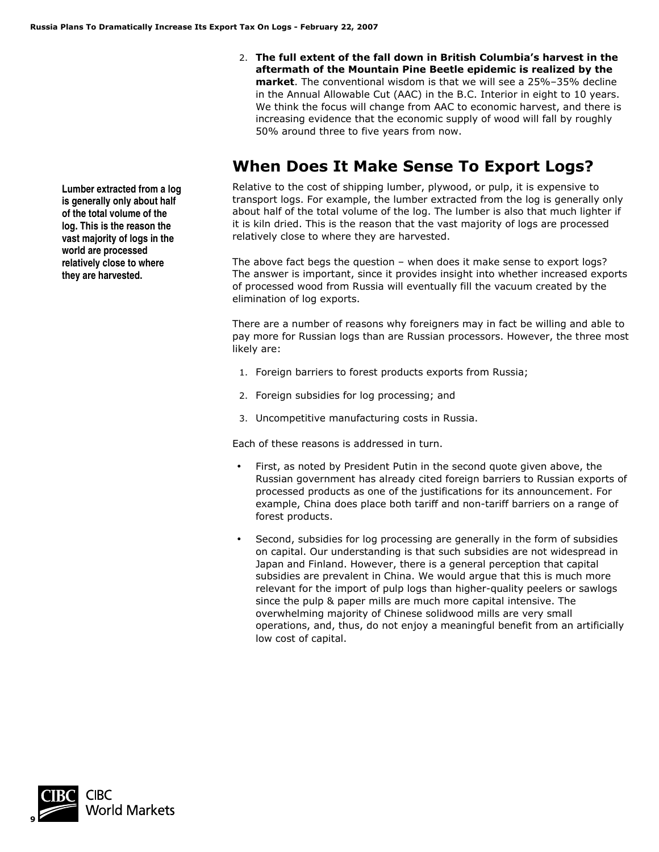2. **The full extent of the fall down in British Columbia's harvest in the aftermath of the Mountain Pine Beetle epidemic is realized by the market**. The conventional wisdom is that we will see a 25%–35% decline in the Annual Allowable Cut (AAC) in the B.C. Interior in eight to 10 years. We think the focus will change from AAC to economic harvest, and there is increasing evidence that the economic supply of wood will fall by roughly 50% around three to five years from now.

### **When Does It Make Sense To Export Logs?**

Relative to the cost of shipping lumber, plywood, or pulp, it is expensive to transport logs. For example, the lumber extracted from the log is generally only about half of the total volume of the log. The lumber is also that much lighter if it is kiln dried. This is the reason that the vast majority of logs are processed relatively close to where they are harvested.

The above fact begs the question – when does it make sense to export logs? The answer is important, since it provides insight into whether increased exports of processed wood from Russia will eventually fill the vacuum created by the elimination of log exports.

There are a number of reasons why foreigners may in fact be willing and able to pay more for Russian logs than are Russian processors. However, the three most likely are:

- 1. Foreign barriers to forest products exports from Russia;
- 2. Foreign subsidies for log processing; and
- 3. Uncompetitive manufacturing costs in Russia.

Each of these reasons is addressed in turn.

- First, as noted by President Putin in the second quote given above, the Russian government has already cited foreign barriers to Russian exports of processed products as one of the justifications for its announcement. For example, China does place both tariff and non-tariff barriers on a range of forest products.
- Second, subsidies for log processing are generally in the form of subsidies on capital. Our understanding is that such subsidies are not widespread in Japan and Finland. However, there is a general perception that capital subsidies are prevalent in China. We would argue that this is much more relevant for the import of pulp logs than higher-quality peelers or sawlogs since the pulp & paper mills are much more capital intensive. The overwhelming majority of Chinese solidwood mills are very small operations, and, thus, do not enjoy a meaningful benefit from an artificially low cost of capital.

**Lumber extracted from a log is generally only about half of the total volume of the log. This is the reason the vast majority of logs in the world are processed relatively close to where they are harvested.** 

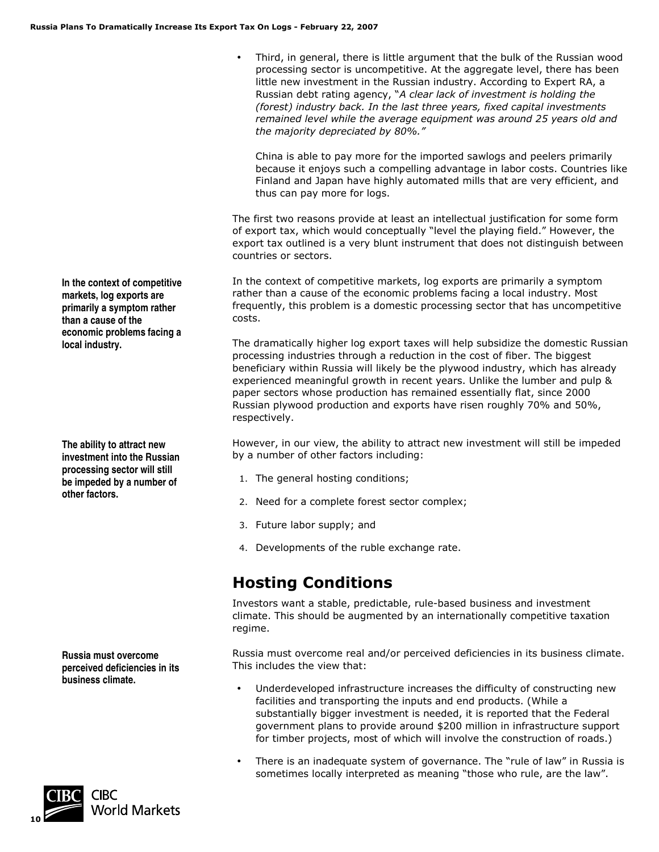• Third, in general, there is little argument that the bulk of the Russian wood processing sector is uncompetitive. At the aggregate level, there has been little new investment in the Russian industry. According to Expert RA, a Russian debt rating agency, "*A clear lack of investment is holding the (forest) industry back. In the last three years, fixed capital investments remained level while the average equipment was around 25 years old and the majority depreciated by 80%."* 

China is able to pay more for the imported sawlogs and peelers primarily because it enjoys such a compelling advantage in labor costs. Countries like Finland and Japan have highly automated mills that are very efficient, and thus can pay more for logs.

The first two reasons provide at least an intellectual justification for some form of export tax, which would conceptually "level the playing field." However, the export tax outlined is a very blunt instrument that does not distinguish between countries or sectors.

In the context of competitive markets, log exports are primarily a symptom rather than a cause of the economic problems facing a local industry. Most frequently, this problem is a domestic processing sector that has uncompetitive costs.

The dramatically higher log export taxes will help subsidize the domestic Russian processing industries through a reduction in the cost of fiber. The biggest beneficiary within Russia will likely be the plywood industry, which has already experienced meaningful growth in recent years. Unlike the lumber and pulp & paper sectors whose production has remained essentially flat, since 2000 Russian plywood production and exports have risen roughly 70% and 50%, respectively.

However, in our view, the ability to attract new investment will still be impeded by a number of other factors including:

- 1. The general hosting conditions;
- 2. Need for a complete forest sector complex;
- 3. Future labor supply; and
- 4. Developments of the ruble exchange rate.

### **Hosting Conditions**

Investors want a stable, predictable, rule-based business and investment climate. This should be augmented by an internationally competitive taxation regime.

Russia must overcome real and/or perceived deficiencies in its business climate. This includes the view that:

- Underdeveloped infrastructure increases the difficulty of constructing new facilities and transporting the inputs and end products. (While a substantially bigger investment is needed, it is reported that the Federal government plans to provide around \$200 million in infrastructure support for timber projects, most of which will involve the construction of roads.)
- There is an inadequate system of governance. The "rule of law" in Russia is sometimes locally interpreted as meaning "those who rule, are the law".

**In the context of competitive markets, log exports are primarily a symptom rather than a cause of the economic problems facing a local industry.** 

**The ability to attract new investment into the Russian processing sector will still be impeded by a number of other factors.**

**Russia must overcome perceived deficiencies in its business climate.**

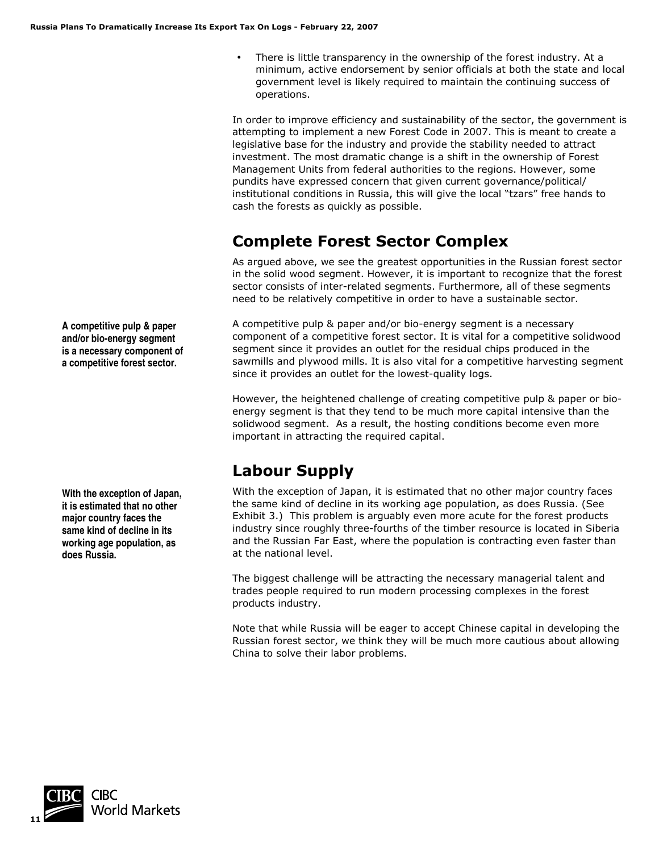There is little transparency in the ownership of the forest industry. At a minimum, active endorsement by senior officials at both the state and local government level is likely required to maintain the continuing success of operations.

In order to improve efficiency and sustainability of the sector, the government is attempting to implement a new Forest Code in 2007. This is meant to create a legislative base for the industry and provide the stability needed to attract investment. The most dramatic change is a shift in the ownership of Forest Management Units from federal authorities to the regions. However, some pundits have expressed concern that given current governance/political/ institutional conditions in Russia, this will give the local "tzars" free hands to cash the forests as quickly as possible.

# **Complete Forest Sector Complex**

As argued above, we see the greatest opportunities in the Russian forest sector in the solid wood segment. However, it is important to recognize that the forest sector consists of inter-related segments. Furthermore, all of these segments need to be relatively competitive in order to have a sustainable sector.

A competitive pulp & paper and/or bio-energy segment is a necessary component of a competitive forest sector. It is vital for a competitive solidwood segment since it provides an outlet for the residual chips produced in the sawmills and plywood mills. It is also vital for a competitive harvesting segment since it provides an outlet for the lowest-quality logs.

However, the heightened challenge of creating competitive pulp & paper or bioenergy segment is that they tend to be much more capital intensive than the solidwood segment. As a result, the hosting conditions become even more important in attracting the required capital.

# **Labour Supply**

With the exception of Japan, it is estimated that no other major country faces the same kind of decline in its working age population, as does Russia. (See Exhibit 3.) This problem is arguably even more acute for the forest products industry since roughly three-fourths of the timber resource is located in Siberia and the Russian Far East, where the population is contracting even faster than at the national level.

The biggest challenge will be attracting the necessary managerial talent and trades people required to run modern processing complexes in the forest products industry.

Note that while Russia will be eager to accept Chinese capital in developing the Russian forest sector, we think they will be much more cautious about allowing China to solve their labor problems.

**A competitive pulp & paper and/or bio-energy segment is a necessary component of a competitive forest sector.** 

**With the exception of Japan, it is estimated that no other major country faces the same kind of decline in its working age population, as does Russia.** 

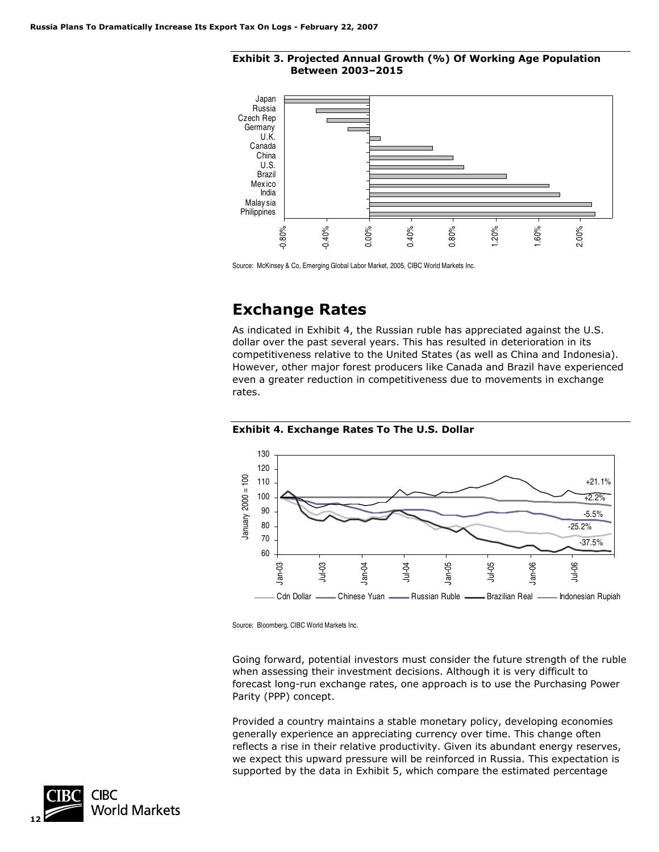



Source: McKinsey & Co, Emerging Global Labor Market, 2005, CIBC World Markets Inc.

### **Exchange Rates**

As indicated in Exhibit 4, the Russian ruble has appreciated against the U.S. dollar over the past several years. This has resulted in deterioration in its competitiveness relative to the United States (as well as China and Indonesia). However, other major forest producers like Canada and Brazil have experienced even a greater reduction in competitiveness due to movements in exchange rates.





Source: Bloomberg, CIBC World Markets Inc.

Going forward, potential investors must consider the future strength of the ruble when assessing their investment decisions. Although it is very difficult to forecast long-run exchange rates, one approach is to use the Purchasing Power Parity (PPP) concept.

Provided a country maintains a stable monetary policy, developing economies generally experience an appreciating currency over time. This change often reflects a rise in their relative productivity. Given its abundant energy reserves, we expect this upward pressure will be reinforced in Russia. This expectation is supported by the data in Exhibit 5, which compare the estimated percentage

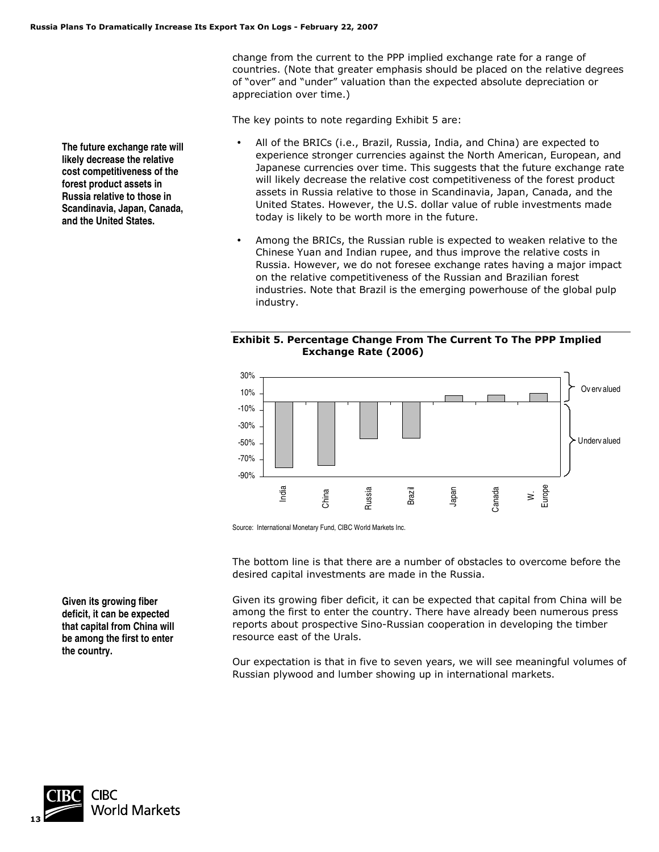change from the current to the PPP implied exchange rate for a range of countries. (Note that greater emphasis should be placed on the relative degrees of "over" and "under" valuation than the expected absolute depreciation or appreciation over time.)

The key points to note regarding Exhibit 5 are:

- All of the BRICs (i.e., Brazil, Russia, India, and China) are expected to experience stronger currencies against the North American, European, and Japanese currencies over time. This suggests that the future exchange rate will likely decrease the relative cost competitiveness of the forest product assets in Russia relative to those in Scandinavia, Japan, Canada, and the United States. However, the U.S. dollar value of ruble investments made today is likely to be worth more in the future.
- Among the BRICs, the Russian ruble is expected to weaken relative to the Chinese Yuan and Indian rupee, and thus improve the relative costs in Russia. However, we do not foresee exchange rates having a major impact on the relative competitiveness of the Russian and Brazilian forest industries. Note that Brazil is the emerging powerhouse of the global pulp industry.

#### **Exhibit 5. Percentage Change From The Current To The PPP Implied Exchange Rate (2006)**



Source: International Monetary Fund, CIBC World Markets Inc.

The bottom line is that there are a number of obstacles to overcome before the desired capital investments are made in the Russia.

Given its growing fiber deficit, it can be expected that capital from China will be among the first to enter the country. There have already been numerous press reports about prospective Sino-Russian cooperation in developing the timber resource east of the Urals.

Our expectation is that in five to seven years, we will see meaningful volumes of Russian plywood and lumber showing up in international markets.

**The future exchange rate will likely decrease the relative cost competitiveness of the forest product assets in Russia relative to those in Scandinavia, Japan, Canada, and the United States.** 

**Given its growing fiber deficit, it can be expected that capital from China will be among the first to enter the country.** 

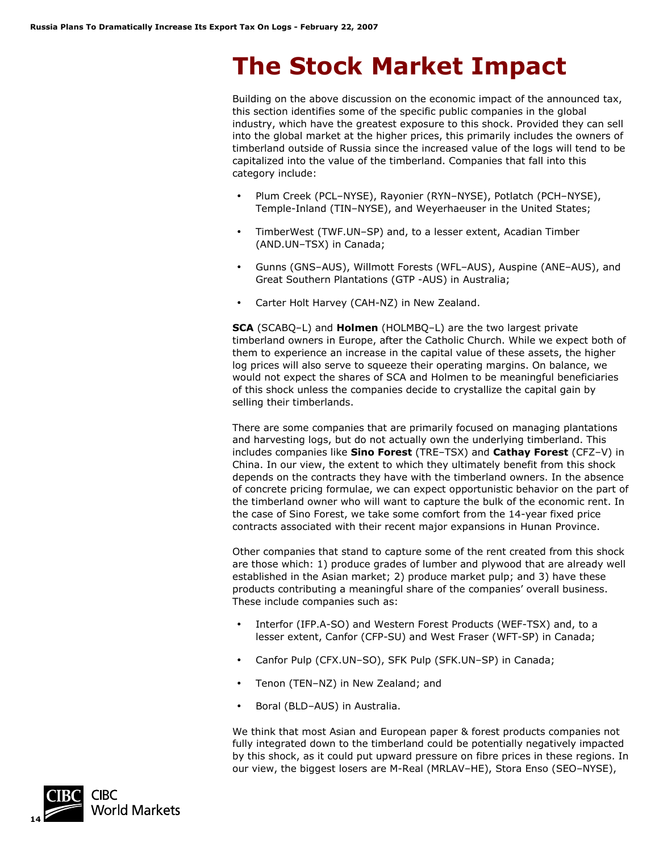# **The Stock Market Impact**

Building on the above discussion on the economic impact of the announced tax, this section identifies some of the specific public companies in the global industry, which have the greatest exposure to this shock. Provided they can sell into the global market at the higher prices, this primarily includes the owners of timberland outside of Russia since the increased value of the logs will tend to be capitalized into the value of the timberland. Companies that fall into this category include:

- Plum Creek (PCL–NYSE), Rayonier (RYN–NYSE), Potlatch (PCH–NYSE), Temple-Inland (TIN–NYSE), and Weyerhaeuser in the United States;
- TimberWest (TWF.UN–SP) and, to a lesser extent, Acadian Timber (AND.UN–TSX) in Canada;
- Gunns (GNS–AUS), Willmott Forests (WFL–AUS), Auspine (ANE–AUS), and Great Southern Plantations (GTP -AUS) in Australia;
- Carter Holt Harvey (CAH-NZ) in New Zealand.

**SCA** (SCABQ–L) and **Holmen** (HOLMBQ–L) are the two largest private timberland owners in Europe, after the Catholic Church. While we expect both of them to experience an increase in the capital value of these assets, the higher log prices will also serve to squeeze their operating margins. On balance, we would not expect the shares of SCA and Holmen to be meaningful beneficiaries of this shock unless the companies decide to crystallize the capital gain by selling their timberlands.

There are some companies that are primarily focused on managing plantations and harvesting logs, but do not actually own the underlying timberland. This includes companies like **Sino Forest** (TRE–TSX) and **Cathay Forest** (CFZ–V) in China. In our view, the extent to which they ultimately benefit from this shock depends on the contracts they have with the timberland owners. In the absence of concrete pricing formulae, we can expect opportunistic behavior on the part of the timberland owner who will want to capture the bulk of the economic rent. In the case of Sino Forest, we take some comfort from the 14-year fixed price contracts associated with their recent major expansions in Hunan Province.

Other companies that stand to capture some of the rent created from this shock are those which: 1) produce grades of lumber and plywood that are already well established in the Asian market; 2) produce market pulp; and 3) have these products contributing a meaningful share of the companies' overall business. These include companies such as:

- Interfor (IFP.A-SO) and Western Forest Products (WEF-TSX) and, to a lesser extent, Canfor (CFP-SU) and West Fraser (WFT-SP) in Canada;
- Canfor Pulp (CFX.UN–SO), SFK Pulp (SFK.UN–SP) in Canada;
- Tenon (TEN–NZ) in New Zealand; and
- Boral (BLD–AUS) in Australia.

We think that most Asian and European paper & forest products companies not fully integrated down to the timberland could be potentially negatively impacted by this shock, as it could put upward pressure on fibre prices in these regions. In our view, the biggest losers are M-Real (MRLAV–HE), Stora Enso (SEO–NYSE),

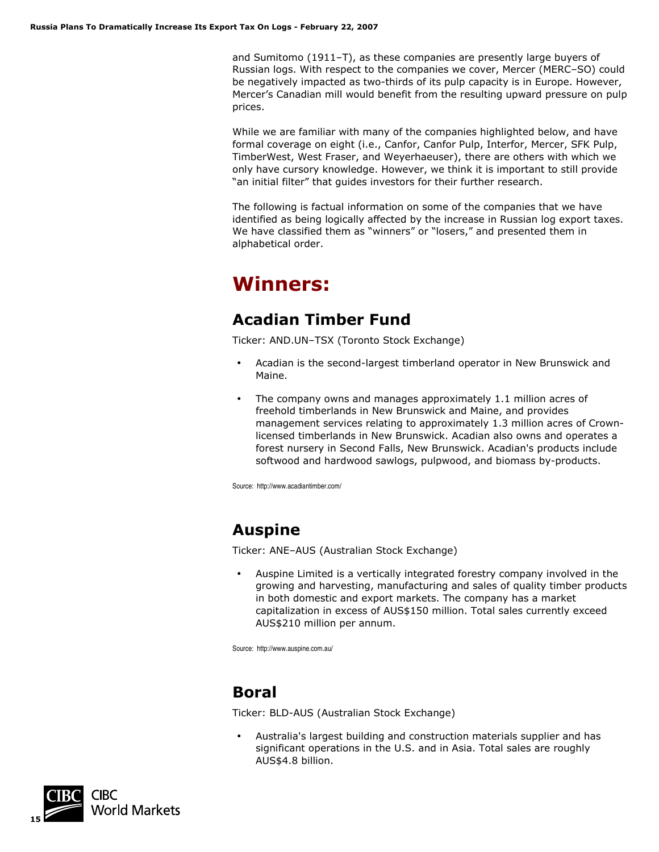and Sumitomo (1911–T), as these companies are presently large buyers of Russian logs. With respect to the companies we cover, Mercer (MERC–SO) could be negatively impacted as two-thirds of its pulp capacity is in Europe. However, Mercer's Canadian mill would benefit from the resulting upward pressure on pulp prices.

While we are familiar with many of the companies highlighted below, and have formal coverage on eight (i.e., Canfor, Canfor Pulp, Interfor, Mercer, SFK Pulp, TimberWest, West Fraser, and Weyerhaeuser), there are others with which we only have cursory knowledge. However, we think it is important to still provide "an initial filter" that guides investors for their further research.

The following is factual information on some of the companies that we have identified as being logically affected by the increase in Russian log export taxes. We have classified them as "winners" or "losers," and presented them in alphabetical order.

# **Winners:**

## **Acadian Timber Fund**

Ticker: AND.UN–TSX (Toronto Stock Exchange)

- Acadian is the second-largest timberland operator in New Brunswick and Maine.
- The company owns and manages approximately 1.1 million acres of freehold timberlands in New Brunswick and Maine, and provides management services relating to approximately 1.3 million acres of Crownlicensed timberlands in New Brunswick. Acadian also owns and operates a forest nursery in Second Falls, New Brunswick. Acadian's products include softwood and hardwood sawlogs, pulpwood, and biomass by-products.

Source: http://www.acadiantimber.com/

# **Auspine**

Ticker: ANE–AUS (Australian Stock Exchange)

• Auspine Limited is a vertically integrated forestry company involved in the growing and harvesting, manufacturing and sales of quality timber products in both domestic and export markets. The company has a market capitalization in excess of AUS\$150 million. Total sales currently exceed AUS\$210 million per annum.

Source: http://www.auspine.com.au/

# **Boral**

Ticker: BLD-AUS (Australian Stock Exchange)

• Australia's largest building and construction materials supplier and has significant operations in the U.S. and in Asia. Total sales are roughly AUS\$4.8 billion.

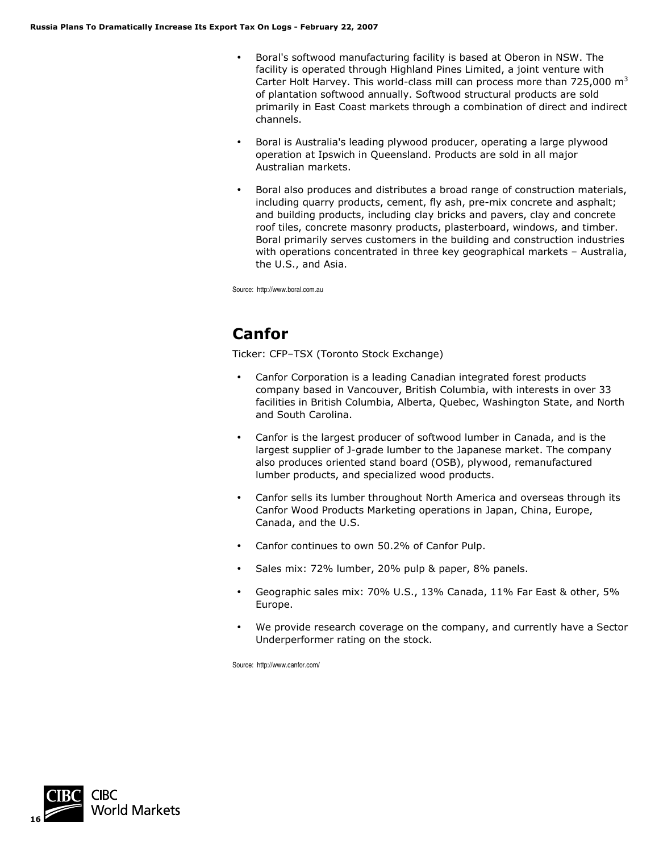- Boral's softwood manufacturing facility is based at Oberon in NSW. The facility is operated through Highland Pines Limited, a joint venture with Carter Holt Harvey. This world-class mill can process more than 725,000  $m<sup>3</sup>$ of plantation softwood annually. Softwood structural products are sold primarily in East Coast markets through a combination of direct and indirect channels.
- Boral is Australia's leading plywood producer, operating a large plywood operation at Ipswich in Queensland. Products are sold in all major Australian markets.
- Boral also produces and distributes a broad range of construction materials, including quarry products, cement, fly ash, pre-mix concrete and asphalt; and building products, including clay bricks and pavers, clay and concrete roof tiles, concrete masonry products, plasterboard, windows, and timber. Boral primarily serves customers in the building and construction industries with operations concentrated in three key geographical markets – Australia, the U.S., and Asia.

Source: http://www.boral.com.au

# **Canfor**

Ticker: CFP–TSX (Toronto Stock Exchange)

- Canfor Corporation is a leading Canadian integrated forest products company based in Vancouver, British Columbia, with interests in over 33 facilities in British Columbia, Alberta, Quebec, Washington State, and North and South Carolina.
- Canfor is the largest producer of softwood lumber in Canada, and is the largest supplier of J-grade lumber to the Japanese market. The company also produces oriented stand board (OSB), plywood, remanufactured lumber products, and specialized wood products.
- Canfor sells its lumber throughout North America and overseas through its Canfor Wood Products Marketing operations in Japan, China, Europe, Canada, and the U.S.
- Canfor continues to own 50.2% of Canfor Pulp.
- Sales mix: 72% lumber, 20% pulp & paper, 8% panels.
- Geographic sales mix: 70% U.S., 13% Canada, 11% Far East & other, 5% Europe.
- We provide research coverage on the company, and currently have a Sector Underperformer rating on the stock.

Source: http://www.canfor.com/

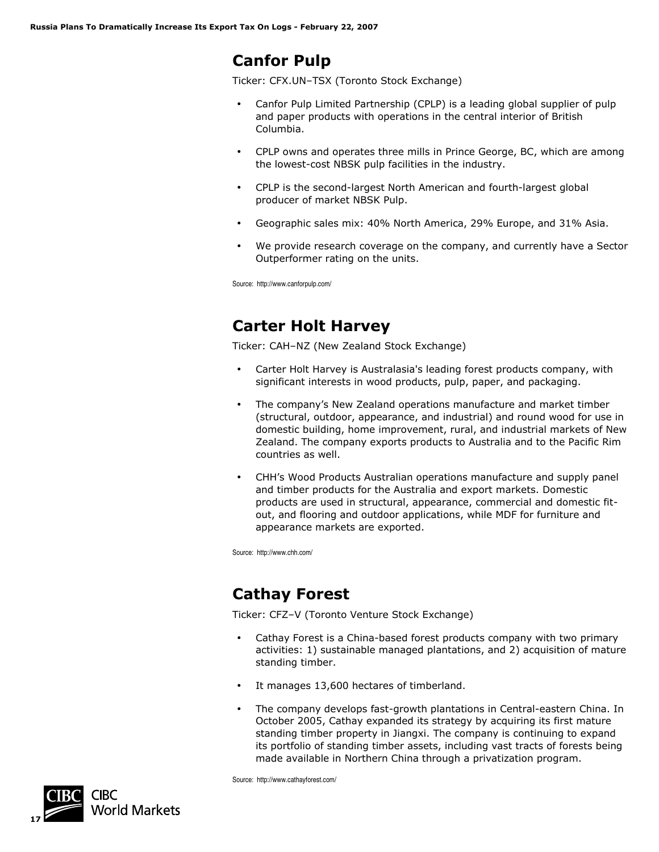### **Canfor Pulp**

Ticker: CFX.UN–TSX (Toronto Stock Exchange)

- Canfor Pulp Limited Partnership (CPLP) is a leading global supplier of pulp and paper products with operations in the central interior of British Columbia.
- CPLP owns and operates three mills in Prince George, BC, which are among the lowest-cost NBSK pulp facilities in the industry.
- CPLP is the second-largest North American and fourth-largest global producer of market NBSK Pulp.
- Geographic sales mix: 40% North America, 29% Europe, and 31% Asia.
- We provide research coverage on the company, and currently have a Sector Outperformer rating on the units.

Source: http://www.canforpulp.com/

## **Carter Holt Harvey**

Ticker: CAH–NZ (New Zealand Stock Exchange)

- Carter Holt Harvey is Australasia's leading forest products company, with significant interests in wood products, pulp, paper, and packaging.
- The company's New Zealand operations manufacture and market timber (structural, outdoor, appearance, and industrial) and round wood for use in domestic building, home improvement, rural, and industrial markets of New Zealand. The company exports products to Australia and to the Pacific Rim countries as well.
- CHH's Wood Products Australian operations manufacture and supply panel and timber products for the Australia and export markets. Domestic products are used in structural, appearance, commercial and domestic fitout, and flooring and outdoor applications, while MDF for furniture and appearance markets are exported.

Source: http://www.chh.com/

# **Cathay Forest**

Ticker: CFZ–V (Toronto Venture Stock Exchange)

- Cathay Forest is a China-based forest products company with two primary activities: 1) sustainable managed plantations, and 2) acquisition of mature standing timber.
- It manages 13,600 hectares of timberland.
- The company develops fast-growth plantations in Central-eastern China. In October 2005, Cathay expanded its strategy by acquiring its first mature standing timber property in Jiangxi. The company is continuing to expand its portfolio of standing timber assets, including vast tracts of forests being made available in Northern China through a privatization program.

Source: http://www.cathayforest.com/

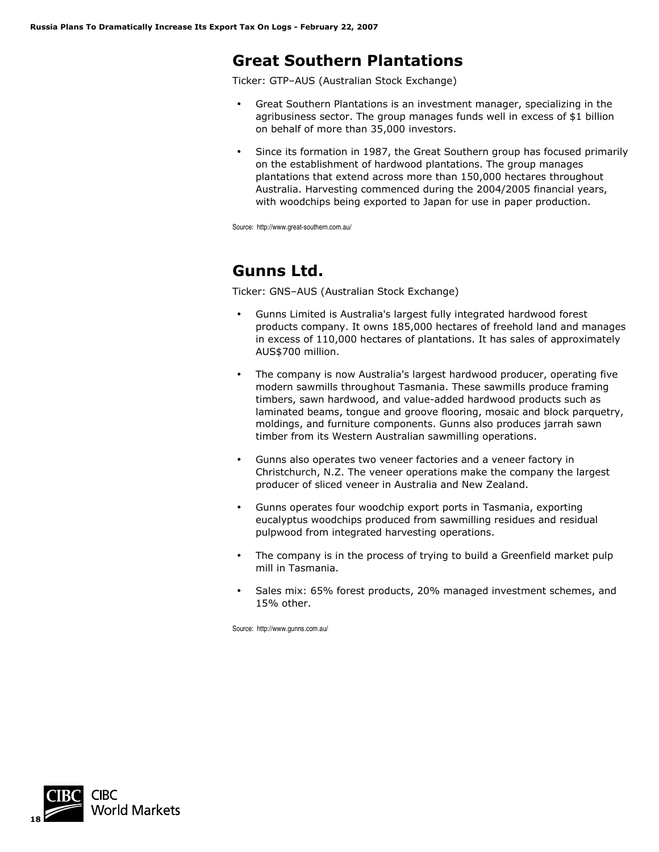### **Great Southern Plantations**

Ticker: GTP–AUS (Australian Stock Exchange)

- Great Southern Plantations is an investment manager, specializing in the agribusiness sector. The group manages funds well in excess of \$1 billion on behalf of more than 35,000 investors.
- Since its formation in 1987, the Great Southern group has focused primarily on the establishment of hardwood plantations. The group manages plantations that extend across more than 150,000 hectares throughout Australia. Harvesting commenced during the 2004/2005 financial years, with woodchips being exported to Japan for use in paper production.

Source: http://www.great-southern.com.au/

# **Gunns Ltd.**

Ticker: GNS–AUS (Australian Stock Exchange)

- Gunns Limited is Australia's largest fully integrated hardwood forest products company. It owns 185,000 hectares of freehold land and manages in excess of 110,000 hectares of plantations. It has sales of approximately AUS\$700 million.
- The company is now Australia's largest hardwood producer, operating five modern sawmills throughout Tasmania. These sawmills produce framing timbers, sawn hardwood, and value-added hardwood products such as laminated beams, tongue and groove flooring, mosaic and block parquetry, moldings, and furniture components. Gunns also produces jarrah sawn timber from its Western Australian sawmilling operations.
- Gunns also operates two veneer factories and a veneer factory in Christchurch, N.Z. The veneer operations make the company the largest producer of sliced veneer in Australia and New Zealand.
- Gunns operates four woodchip export ports in Tasmania, exporting eucalyptus woodchips produced from sawmilling residues and residual pulpwood from integrated harvesting operations.
- The company is in the process of trying to build a Greenfield market pulp mill in Tasmania.
- Sales mix: 65% forest products, 20% managed investment schemes, and 15% other.

Source: http://www.gunns.com.au/

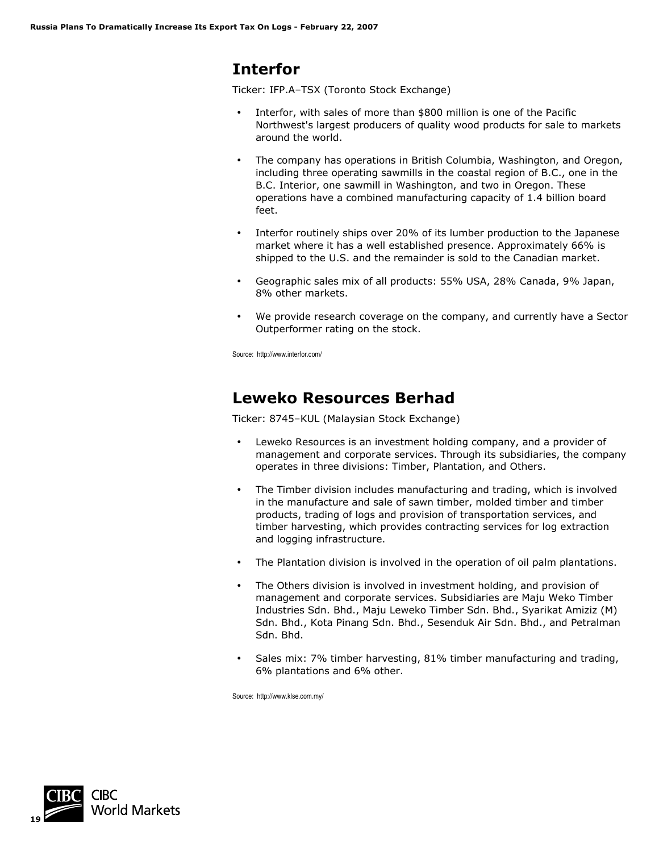## **Interfor**

Ticker: IFP.A–TSX (Toronto Stock Exchange)

- Interfor, with sales of more than \$800 million is one of the Pacific Northwest's largest producers of quality wood products for sale to markets around the world.
- The company has operations in British Columbia, Washington, and Oregon, including three operating sawmills in the coastal region of B.C., one in the B.C. Interior, one sawmill in Washington, and two in Oregon. These operations have a combined manufacturing capacity of 1.4 billion board feet.
- Interfor routinely ships over 20% of its lumber production to the Japanese market where it has a well established presence. Approximately 66% is shipped to the U.S. and the remainder is sold to the Canadian market.
- Geographic sales mix of all products: 55% USA, 28% Canada, 9% Japan, 8% other markets.
- We provide research coverage on the company, and currently have a Sector Outperformer rating on the stock.

Source: http://www.interfor.com/

### **Leweko Resources Berhad**

Ticker: 8745–KUL (Malaysian Stock Exchange)

- Leweko Resources is an investment holding company, and a provider of management and corporate services. Through its subsidiaries, the company operates in three divisions: Timber, Plantation, and Others.
- The Timber division includes manufacturing and trading, which is involved in the manufacture and sale of sawn timber, molded timber and timber products, trading of logs and provision of transportation services, and timber harvesting, which provides contracting services for log extraction and logging infrastructure.
- The Plantation division is involved in the operation of oil palm plantations.
- The Others division is involved in investment holding, and provision of management and corporate services. Subsidiaries are Maju Weko Timber Industries Sdn. Bhd., Maju Leweko Timber Sdn. Bhd., Syarikat Amiziz (M) Sdn. Bhd., Kota Pinang Sdn. Bhd., Sesenduk Air Sdn. Bhd., and Petralman Sdn. Bhd.
- Sales mix: 7% timber harvesting, 81% timber manufacturing and trading, 6% plantations and 6% other.

Source: http://www.klse.com.my/

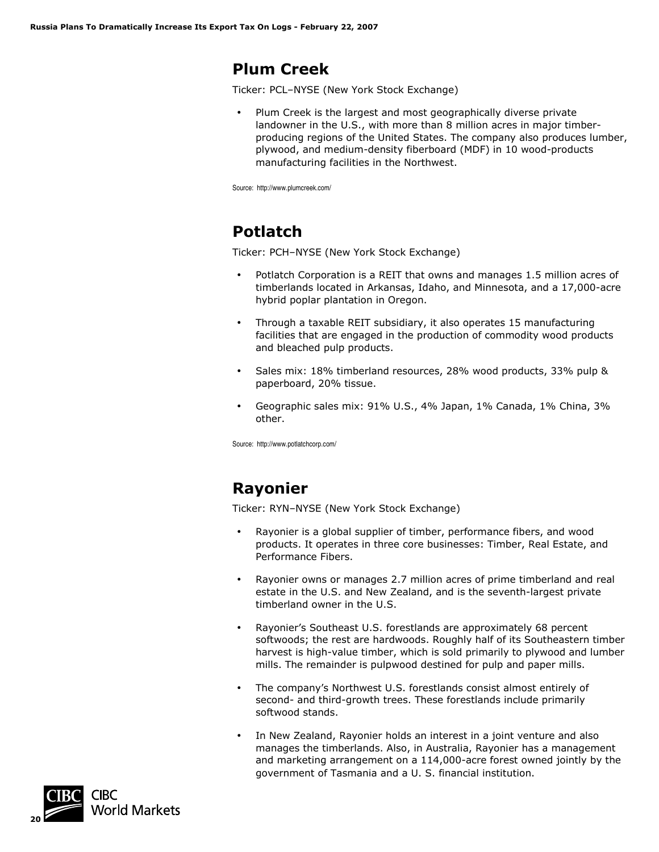### **Plum Creek**

Ticker: PCL–NYSE (New York Stock Exchange)

• Plum Creek is the largest and most geographically diverse private landowner in the U.S., with more than 8 million acres in major timberproducing regions of the United States. The company also produces lumber, plywood, and medium-density fiberboard (MDF) in 10 wood-products manufacturing facilities in the Northwest.

Source: http://www.plumcreek.com/

# **Potlatch**

Ticker: PCH–NYSE (New York Stock Exchange)

- Potlatch Corporation is a REIT that owns and manages 1.5 million acres of timberlands located in Arkansas, Idaho, and Minnesota, and a 17,000-acre hybrid poplar plantation in Oregon.
- Through a taxable REIT subsidiary, it also operates 15 manufacturing facilities that are engaged in the production of commodity wood products and bleached pulp products.
- Sales mix: 18% timberland resources, 28% wood products, 33% pulp & paperboard, 20% tissue.
- Geographic sales mix: 91% U.S., 4% Japan, 1% Canada, 1% China, 3% other.

Source: http://www.potlatchcorp.com/

# **Rayonier**

Ticker: RYN–NYSE (New York Stock Exchange)

- Rayonier is a global supplier of timber, performance fibers, and wood products. It operates in three core businesses: Timber, Real Estate, and Performance Fibers.
- Rayonier owns or manages 2.7 million acres of prime timberland and real estate in the U.S. and New Zealand, and is the seventh-largest private timberland owner in the U.S.
- Rayonier's Southeast U.S. forestlands are approximately 68 percent softwoods; the rest are hardwoods. Roughly half of its Southeastern timber harvest is high-value timber, which is sold primarily to plywood and lumber mills. The remainder is pulpwood destined for pulp and paper mills.
- The company's Northwest U.S. forestlands consist almost entirely of second- and third-growth trees. These forestlands include primarily softwood stands.
- In New Zealand, Rayonier holds an interest in a joint venture and also manages the timberlands. Also, in Australia, Rayonier has a management and marketing arrangement on a 114,000-acre forest owned jointly by the government of Tasmania and a U. S. financial institution.

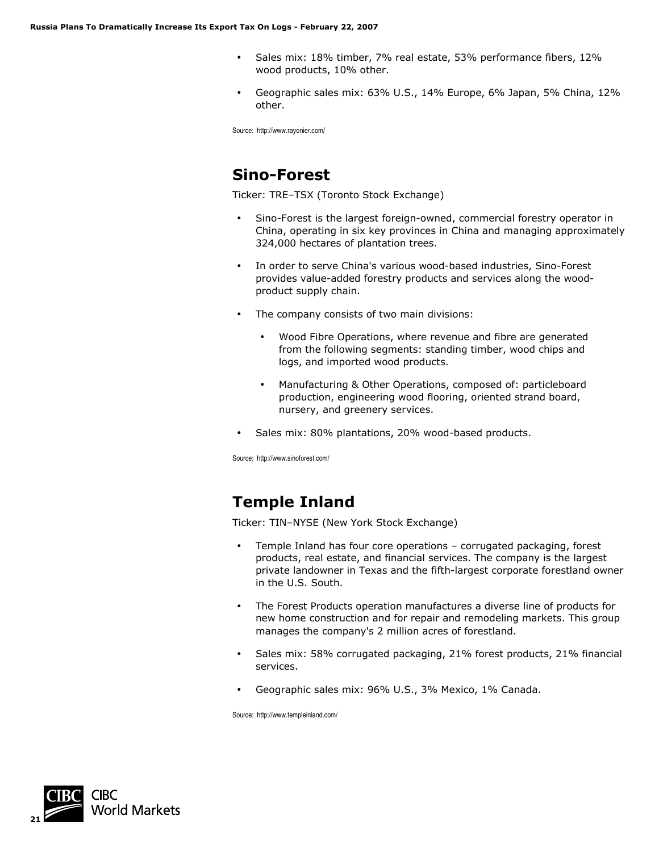- Sales mix: 18% timber, 7% real estate, 53% performance fibers, 12% wood products, 10% other.
- Geographic sales mix: 63% U.S., 14% Europe, 6% Japan, 5% China, 12% other.

Source: http://www.rayonier.com/

## **Sino-Forest**

Ticker: TRE–TSX (Toronto Stock Exchange)

- Sino-Forest is the largest foreign-owned, commercial forestry operator in China, operating in six key provinces in China and managing approximately 324,000 hectares of plantation trees.
- In order to serve China's various wood-based industries, Sino-Forest provides value-added forestry products and services along the woodproduct supply chain.
- The company consists of two main divisions:
	- Wood Fibre Operations, where revenue and fibre are generated from the following segments: standing timber, wood chips and logs, and imported wood products.
	- Manufacturing & Other Operations, composed of: particleboard production, engineering wood flooring, oriented strand board, nursery, and greenery services.
- Sales mix: 80% plantations, 20% wood-based products.

Source: http://www.sinoforest.com/

# **Temple Inland**

Ticker: TIN–NYSE (New York Stock Exchange)

- Temple Inland has four core operations corrugated packaging, forest products, real estate, and financial services. The company is the largest private landowner in Texas and the fifth-largest corporate forestland owner in the U.S. South.
- The Forest Products operation manufactures a diverse line of products for new home construction and for repair and remodeling markets. This group manages the company's 2 million acres of forestland.
- Sales mix: 58% corrugated packaging, 21% forest products, 21% financial services.
- Geographic sales mix: 96% U.S., 3% Mexico, 1% Canada.

Source: http://www.templeinland.com/

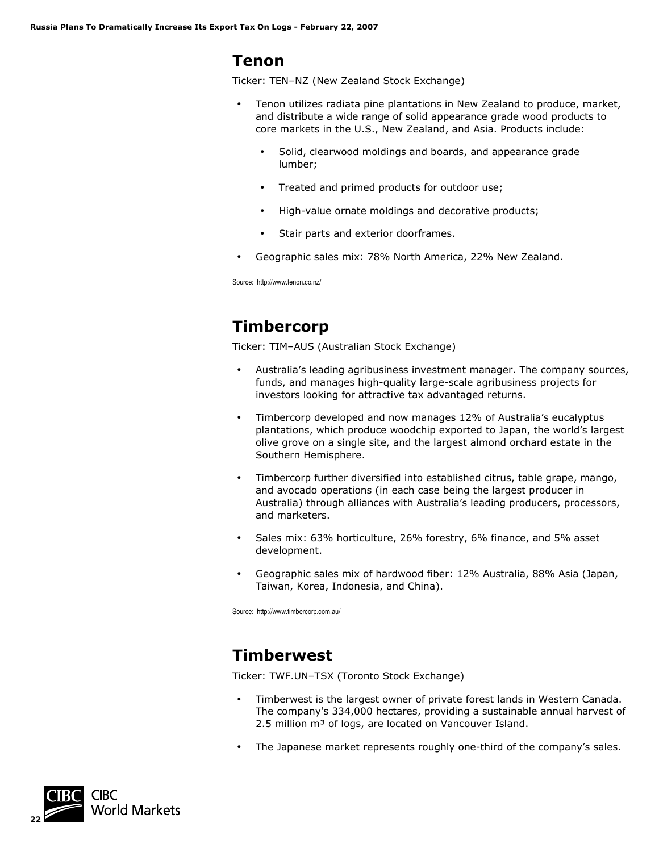#### **Tenon**

Ticker: TEN–NZ (New Zealand Stock Exchange)

- Tenon utilizes radiata pine plantations in New Zealand to produce, market, and distribute a wide range of solid appearance grade wood products to core markets in the U.S., New Zealand, and Asia. Products include:
	- Solid, clearwood moldings and boards, and appearance grade lumber;
	- Treated and primed products for outdoor use;
	- High-value ornate moldings and decorative products;
	- Stair parts and exterior doorframes.
- Geographic sales mix: 78% North America, 22% New Zealand.

Source: http://www.tenon.co.nz/

# **Timbercorp**

Ticker: TIM–AUS (Australian Stock Exchange)

- Australia's leading agribusiness investment manager. The company sources, funds, and manages high-quality large-scale agribusiness projects for investors looking for attractive tax advantaged returns.
- Timbercorp developed and now manages 12% of Australia's eucalyptus plantations, which produce woodchip exported to Japan, the world's largest olive grove on a single site, and the largest almond orchard estate in the Southern Hemisphere.
- Timbercorp further diversified into established citrus, table grape, mango, and avocado operations (in each case being the largest producer in Australia) through alliances with Australia's leading producers, processors, and marketers.
- Sales mix: 63% horticulture, 26% forestry, 6% finance, and 5% asset development.
- Geographic sales mix of hardwood fiber: 12% Australia, 88% Asia (Japan, Taiwan, Korea, Indonesia, and China).

Source: http://www.timbercorp.com.au/

# **Timberwest**

Ticker: TWF.UN–TSX (Toronto Stock Exchange)

- Timberwest is the largest owner of private forest lands in Western Canada. The company's 334,000 hectares, providing a sustainable annual harvest of 2.5 million m<sup>3</sup> of logs, are located on Vancouver Island.
- The Japanese market represents roughly one-third of the company's sales.

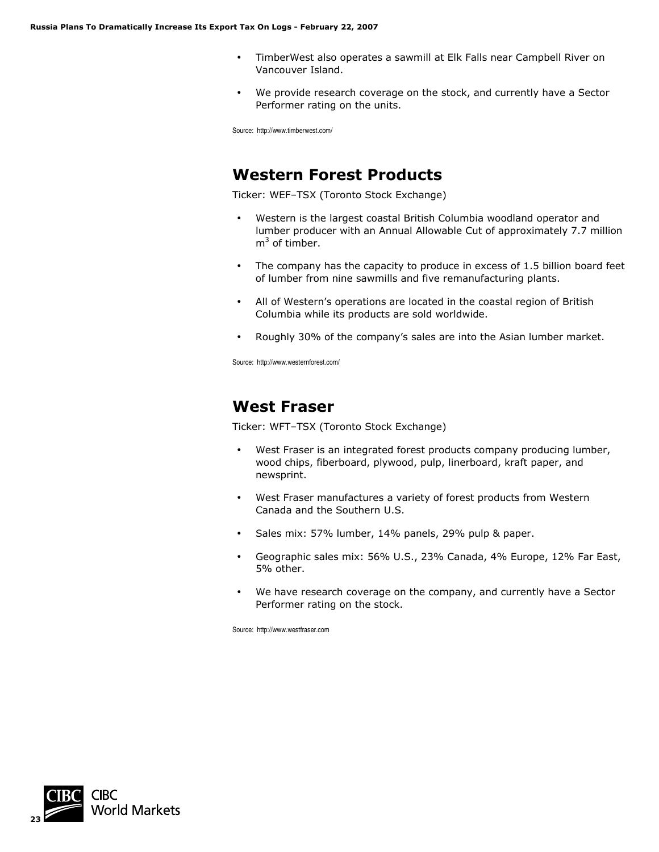- TimberWest also operates a sawmill at Elk Falls near Campbell River on Vancouver Island.
- We provide research coverage on the stock, and currently have a Sector Performer rating on the units.

Source: http://www.timberwest.com/

#### **Western Forest Products**

Ticker: WEF–TSX (Toronto Stock Exchange)

- Western is the largest coastal British Columbia woodland operator and lumber producer with an Annual Allowable Cut of approximately 7.7 million  $m<sup>3</sup>$  of timber.
- The company has the capacity to produce in excess of 1.5 billion board feet of lumber from nine sawmills and five remanufacturing plants.
- All of Western's operations are located in the coastal region of British Columbia while its products are sold worldwide.
- Roughly 30% of the company's sales are into the Asian lumber market.

Source: http://www.westernforest.com/

### **West Fraser**

Ticker: WFT–TSX (Toronto Stock Exchange)

- West Fraser is an integrated forest products company producing lumber, wood chips, fiberboard, plywood, pulp, linerboard, kraft paper, and newsprint.
- West Fraser manufactures a variety of forest products from Western Canada and the Southern U.S.
- Sales mix: 57% lumber, 14% panels, 29% pulp & paper.
- Geographic sales mix: 56% U.S., 23% Canada, 4% Europe, 12% Far East, 5% other.
- We have research coverage on the company, and currently have a Sector Performer rating on the stock.

Source: http://www.westfraser.com

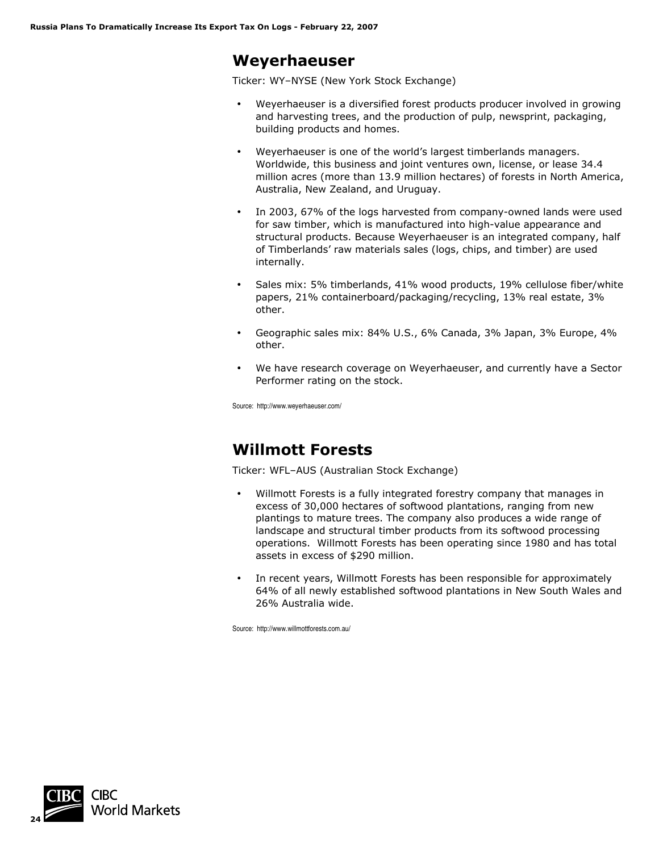#### **Weyerhaeuser**

Ticker: WY–NYSE (New York Stock Exchange)

- Weyerhaeuser is a diversified forest products producer involved in growing and harvesting trees, and the production of pulp, newsprint, packaging, building products and homes.
- Weyerhaeuser is one of the world's largest timberlands managers. Worldwide, this business and joint ventures own, license, or lease 34.4 million acres (more than 13.9 million hectares) of forests in North America, Australia, New Zealand, and Uruguay.
- In 2003, 67% of the logs harvested from company-owned lands were used for saw timber, which is manufactured into high-value appearance and structural products. Because Weyerhaeuser is an integrated company, half of Timberlands' raw materials sales (logs, chips, and timber) are used internally.
- Sales mix: 5% timberlands, 41% wood products, 19% cellulose fiber/white papers, 21% containerboard/packaging/recycling, 13% real estate, 3% other.
- Geographic sales mix: 84% U.S., 6% Canada, 3% Japan, 3% Europe, 4% other.
- We have research coverage on Weyerhaeuser, and currently have a Sector Performer rating on the stock.

Source: http://www.weyerhaeuser.com/

### **Willmott Forests**

Ticker: WFL–AUS (Australian Stock Exchange)

- Willmott Forests is a fully integrated forestry company that manages in excess of 30,000 hectares of softwood plantations, ranging from new plantings to mature trees. The company also produces a wide range of landscape and structural timber products from its softwood processing operations. Willmott Forests has been operating since 1980 and has total assets in excess of \$290 million.
- In recent years, Willmott Forests has been responsible for approximately 64% of all newly established softwood plantations in New South Wales and 26% Australia wide.

Source: http://www.willmottforests.com.au/

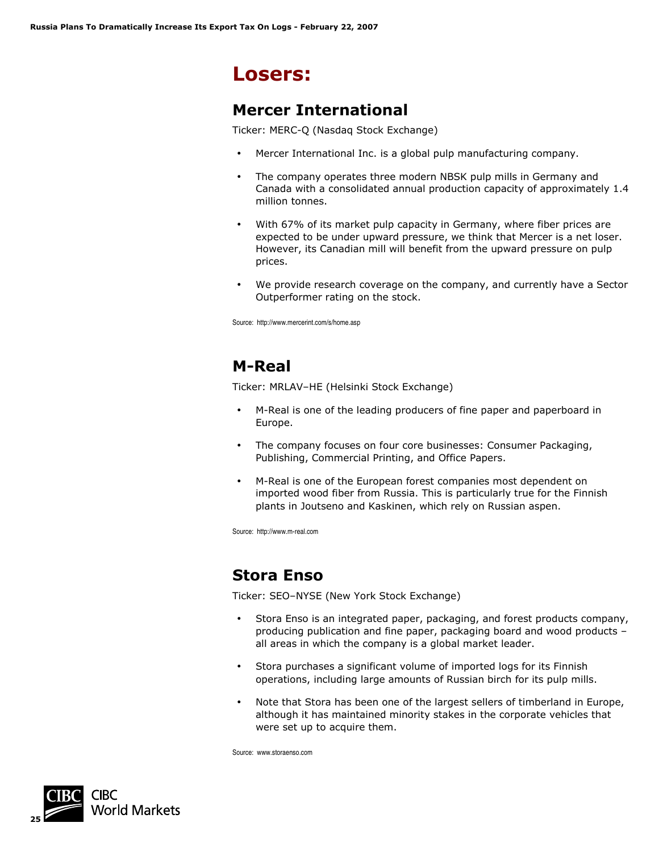# **Losers:**

#### **Mercer International**

Ticker: MERC-Q (Nasdaq Stock Exchange)

- Mercer International Inc. is a global pulp manufacturing company.
- The company operates three modern NBSK pulp mills in Germany and Canada with a consolidated annual production capacity of approximately 1.4 million tonnes.
- With 67% of its market pulp capacity in Germany, where fiber prices are expected to be under upward pressure, we think that Mercer is a net loser. However, its Canadian mill will benefit from the upward pressure on pulp prices.
- We provide research coverage on the company, and currently have a Sector Outperformer rating on the stock.

Source: http://www.mercerint.com/s/home.asp

# **M-Real**

Ticker: MRLAV–HE (Helsinki Stock Exchange)

- M-Real is one of the leading producers of fine paper and paperboard in Europe.
- The company focuses on four core businesses: Consumer Packaging, Publishing, Commercial Printing, and Office Papers.
- M-Real is one of the European forest companies most dependent on imported wood fiber from Russia. This is particularly true for the Finnish plants in Joutseno and Kaskinen, which rely on Russian aspen.

Source: http://www.m-real.com

#### **Stora Enso**

Ticker: SEO–NYSE (New York Stock Exchange)

- Stora Enso is an integrated paper, packaging, and forest products company, producing publication and fine paper, packaging board and wood products – all areas in which the company is a global market leader.
- Stora purchases a significant volume of imported logs for its Finnish operations, including large amounts of Russian birch for its pulp mills.
- Note that Stora has been one of the largest sellers of timberland in Europe, although it has maintained minority stakes in the corporate vehicles that were set up to acquire them.

Source: www.storaenso.com

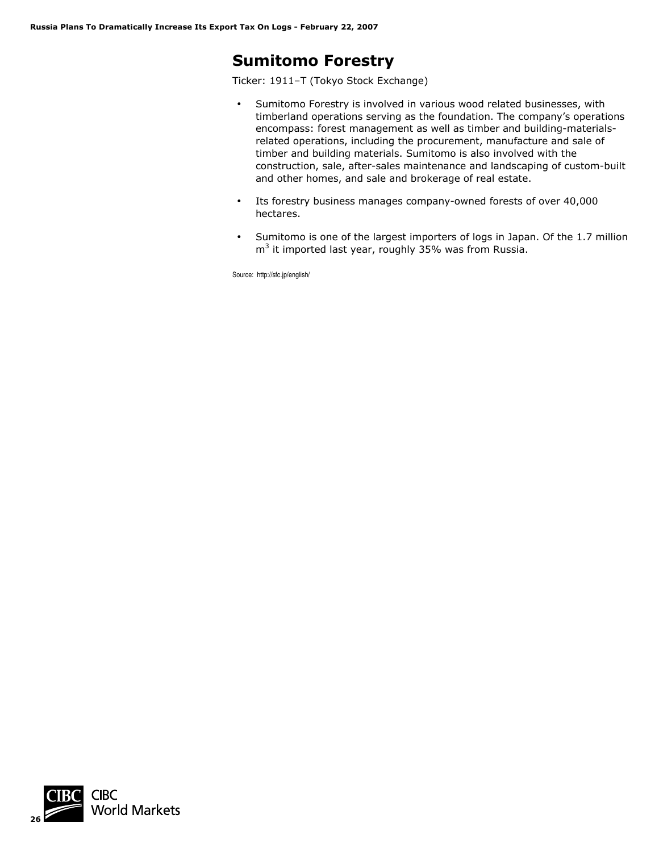## **Sumitomo Forestry**

Ticker: 1911–T (Tokyo Stock Exchange)

- Sumitomo Forestry is involved in various wood related businesses, with timberland operations serving as the foundation. The company's operations encompass: forest management as well as timber and building-materialsrelated operations, including the procurement, manufacture and sale of timber and building materials. Sumitomo is also involved with the construction, sale, after-sales maintenance and landscaping of custom-built and other homes, and sale and brokerage of real estate.
- Its forestry business manages company-owned forests of over 40,000 hectares.
- Sumitomo is one of the largest importers of logs in Japan. Of the 1.7 million  $m<sup>3</sup>$  it imported last year, roughly 35% was from Russia.

Source: http://sfc.jp/english/

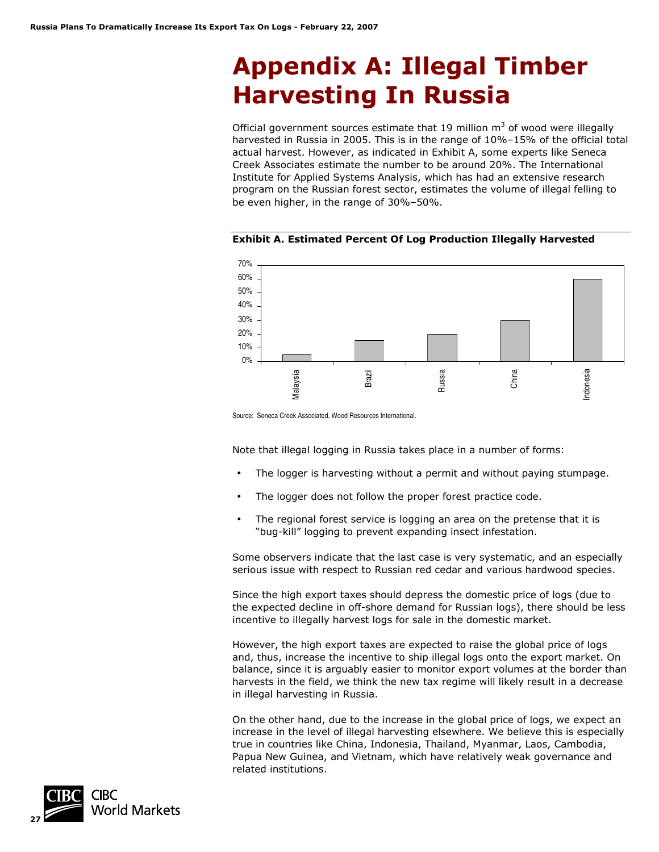# **Appendix A: Illegal Timber Harvesting In Russia**

Official government sources estimate that 19 million  $m<sup>3</sup>$  of wood were illegally harvested in Russia in 2005. This is in the range of 10%–15% of the official total actual harvest. However, as indicated in Exhibit A, some experts like Seneca Creek Associates estimate the number to be around 20%. The International Institute for Applied Systems Analysis, which has had an extensive research program on the Russian forest sector, estimates the volume of illegal felling to be even higher, in the range of 30%–50%.



**Exhibit A. Estimated Percent Of Log Production Illegally Harvested** 

Source: Seneca Creek Associated, Wood Resources International.

Note that illegal logging in Russia takes place in a number of forms:

- The logger is harvesting without a permit and without paying stumpage.
- The logger does not follow the proper forest practice code.
- The regional forest service is logging an area on the pretense that it is "bug-kill" logging to prevent expanding insect infestation.

Some observers indicate that the last case is very systematic, and an especially serious issue with respect to Russian red cedar and various hardwood species.

Since the high export taxes should depress the domestic price of logs (due to the expected decline in off-shore demand for Russian logs), there should be less incentive to illegally harvest logs for sale in the domestic market.

However, the high export taxes are expected to raise the global price of logs and, thus, increase the incentive to ship illegal logs onto the export market. On balance, since it is arguably easier to monitor export volumes at the border than harvests in the field, we think the new tax regime will likely result in a decrease in illegal harvesting in Russia.

On the other hand, due to the increase in the global price of logs, we expect an increase in the level of illegal harvesting elsewhere. We believe this is especially true in countries like China, Indonesia, Thailand, Myanmar, Laos, Cambodia, Papua New Guinea, and Vietnam, which have relatively weak governance and related institutions.

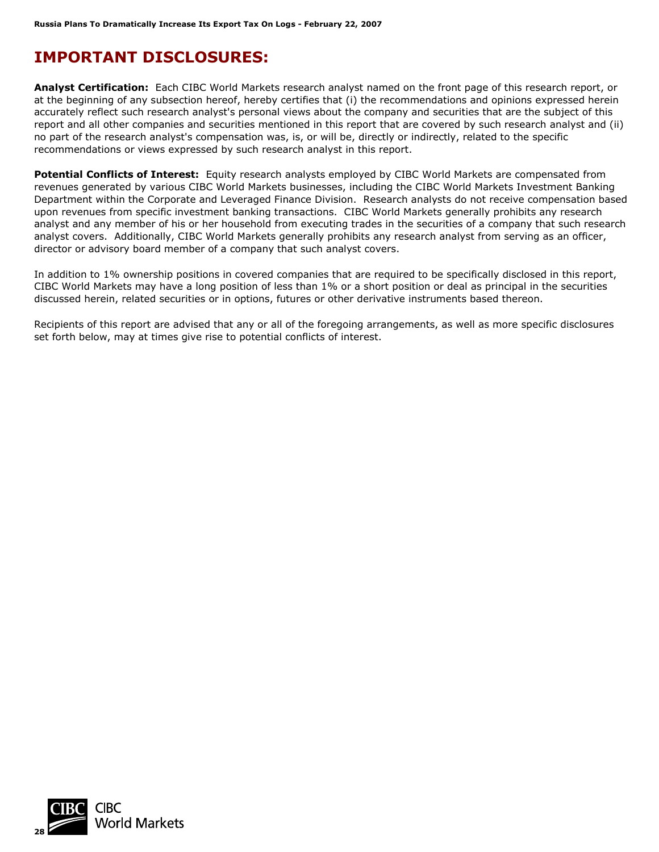# **IMPORTANT DISCLOSURES:**

**Analyst Certification:** Each CIBC World Markets research analyst named on the front page of this research report, or at the beginning of any subsection hereof, hereby certifies that (i) the recommendations and opinions expressed herein accurately reflect such research analyst's personal views about the company and securities that are the subject of this report and all other companies and securities mentioned in this report that are covered by such research analyst and (ii) no part of the research analyst's compensation was, is, or will be, directly or indirectly, related to the specific recommendations or views expressed by such research analyst in this report.

**Potential Conflicts of Interest:** Equity research analysts employed by CIBC World Markets are compensated from revenues generated by various CIBC World Markets businesses, including the CIBC World Markets Investment Banking Department within the Corporate and Leveraged Finance Division. Research analysts do not receive compensation based upon revenues from specific investment banking transactions. CIBC World Markets generally prohibits any research analyst and any member of his or her household from executing trades in the securities of a company that such research analyst covers. Additionally, CIBC World Markets generally prohibits any research analyst from serving as an officer, director or advisory board member of a company that such analyst covers.

In addition to 1% ownership positions in covered companies that are required to be specifically disclosed in this report, CIBC World Markets may have a long position of less than 1% or a short position or deal as principal in the securities discussed herein, related securities or in options, futures or other derivative instruments based thereon.

Recipients of this report are advised that any or all of the foregoing arrangements, as well as more specific disclosures set forth below, may at times give rise to potential conflicts of interest.

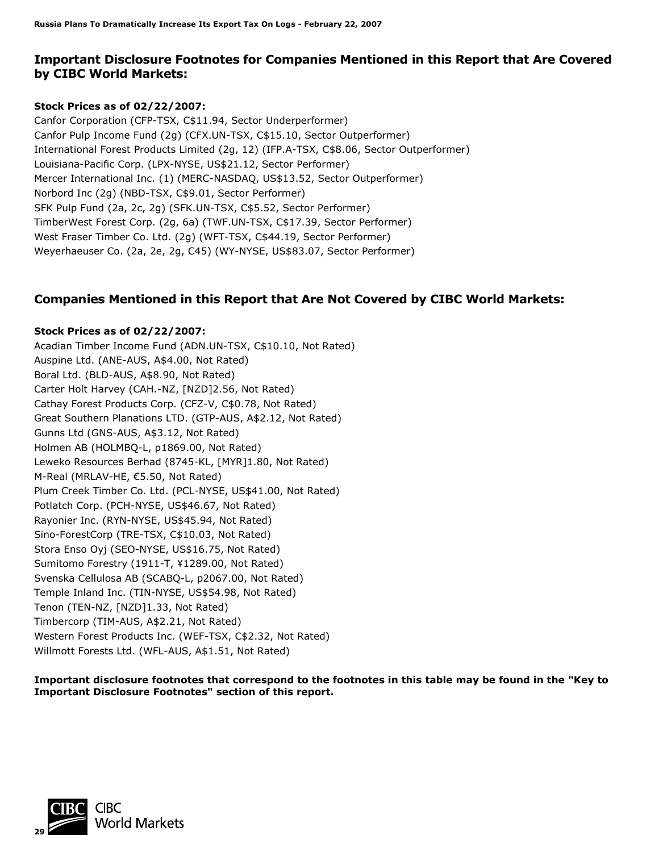#### **Important Disclosure Footnotes for Companies Mentioned in this Report that Are Covered by CIBC World Markets:**

#### **Stock Prices as of 02/22/2007:**

Canfor Corporation (CFP-TSX, C\$11.94, Sector Underperformer) Canfor Pulp Income Fund (2g) (CFX.UN-TSX, C\$15.10, Sector Outperformer) International Forest Products Limited (2g, 12) (IFP.A-TSX, C\$8.06, Sector Outperformer) Louisiana-Pacific Corp. (LPX-NYSE, US\$21.12, Sector Performer) Mercer International Inc. (1) (MERC-NASDAQ, US\$13.52, Sector Outperformer) Norbord Inc (2g) (NBD-TSX, C\$9.01, Sector Performer) SFK Pulp Fund (2a, 2c, 2g) (SFK.UN-TSX, C\$5.52, Sector Performer) TimberWest Forest Corp. (2g, 6a) (TWF.UN-TSX, C\$17.39, Sector Performer) West Fraser Timber Co. Ltd. (2g) (WFT-TSX, C\$44.19, Sector Performer) Weyerhaeuser Co. (2a, 2e, 2g, C45) (WY-NYSE, US\$83.07, Sector Performer)

#### **Companies Mentioned in this Report that Are Not Covered by CIBC World Markets:**

#### **Stock Prices as of 02/22/2007:**

Acadian Timber Income Fund (ADN.UN-TSX, C\$10.10, Not Rated) Auspine Ltd. (ANE-AUS, A\$4.00, Not Rated) Boral Ltd. (BLD-AUS, A\$8.90, Not Rated) Carter Holt Harvey (CAH.-NZ, [NZD]2.56, Not Rated) Cathay Forest Products Corp. (CFZ-V, C\$0.78, Not Rated) Great Southern Planations LTD. (GTP-AUS, A\$2.12, Not Rated) Gunns Ltd (GNS-AUS, A\$3.12, Not Rated) Holmen AB (HOLMBQ-L, p1869.00, Not Rated) Leweko Resources Berhad (8745-KL, [MYR]1.80, Not Rated) M-Real (MRLAV-HE, €5.50, Not Rated) Plum Creek Timber Co. Ltd. (PCL-NYSE, US\$41.00, Not Rated) Potlatch Corp. (PCH-NYSE, US\$46.67, Not Rated) Rayonier Inc. (RYN-NYSE, US\$45.94, Not Rated) Sino-ForestCorp (TRE-TSX, C\$10.03, Not Rated) Stora Enso Oyj (SEO-NYSE, US\$16.75, Not Rated) Sumitomo Forestry (1911-T, ¥1289.00, Not Rated) Svenska Cellulosa AB (SCABQ-L, p2067.00, Not Rated) Temple Inland Inc. (TIN-NYSE, US\$54.98, Not Rated) Tenon (TEN-NZ, [NZD]1.33, Not Rated) Timbercorp (TIM-AUS, A\$2.21, Not Rated) Western Forest Products Inc. (WEF-TSX, C\$2.32, Not Rated) Willmott Forests Ltd. (WFL-AUS, A\$1.51, Not Rated)

**Important disclosure footnotes that correspond to the footnotes in this table may be found in the "Key to Important Disclosure Footnotes" section of this report.** 

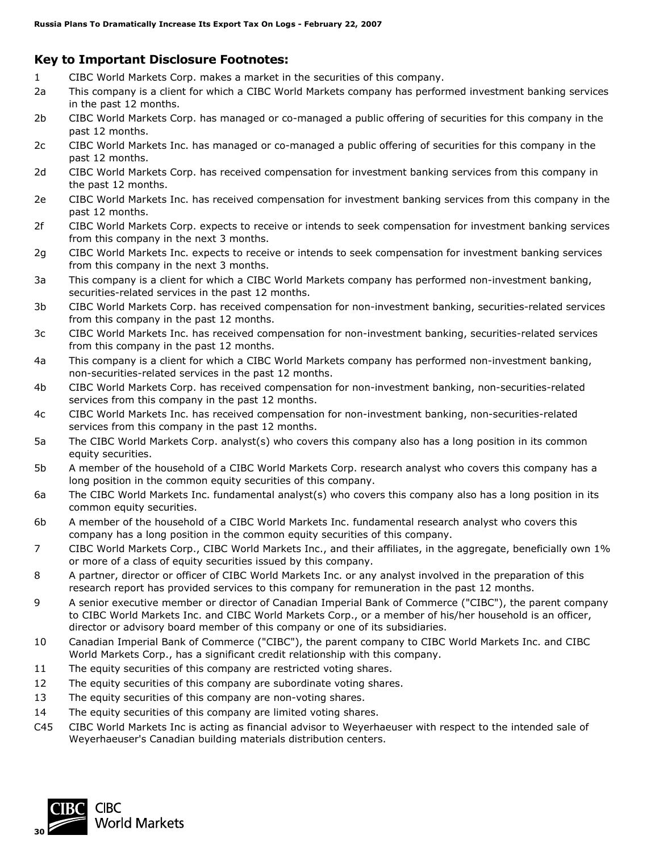#### **Key to Important Disclosure Footnotes:**

- 1 CIBC World Markets Corp. makes a market in the securities of this company.
- 2a This company is a client for which a CIBC World Markets company has performed investment banking services in the past 12 months.
- 2b CIBC World Markets Corp. has managed or co-managed a public offering of securities for this company in the past 12 months.
- 2c CIBC World Markets Inc. has managed or co-managed a public offering of securities for this company in the past 12 months.
- 2d CIBC World Markets Corp. has received compensation for investment banking services from this company in the past 12 months.
- 2e CIBC World Markets Inc. has received compensation for investment banking services from this company in the past 12 months.
- 2f CIBC World Markets Corp. expects to receive or intends to seek compensation for investment banking services from this company in the next 3 months.
- 2g CIBC World Markets Inc. expects to receive or intends to seek compensation for investment banking services from this company in the next 3 months.
- 3a This company is a client for which a CIBC World Markets company has performed non-investment banking, securities-related services in the past 12 months.
- 3b CIBC World Markets Corp. has received compensation for non-investment banking, securities-related services from this company in the past 12 months.
- 3c CIBC World Markets Inc. has received compensation for non-investment banking, securities-related services from this company in the past 12 months.
- 4a This company is a client for which a CIBC World Markets company has performed non-investment banking, non-securities-related services in the past 12 months.
- 4b CIBC World Markets Corp. has received compensation for non-investment banking, non-securities-related services from this company in the past 12 months.
- 4c CIBC World Markets Inc. has received compensation for non-investment banking, non-securities-related services from this company in the past 12 months.
- 5a The CIBC World Markets Corp. analyst(s) who covers this company also has a long position in its common equity securities.
- 5b A member of the household of a CIBC World Markets Corp. research analyst who covers this company has a long position in the common equity securities of this company.
- 6a The CIBC World Markets Inc. fundamental analyst(s) who covers this company also has a long position in its common equity securities.
- 6b A member of the household of a CIBC World Markets Inc. fundamental research analyst who covers this company has a long position in the common equity securities of this company.
- 7 CIBC World Markets Corp., CIBC World Markets Inc., and their affiliates, in the aggregate, beneficially own 1% or more of a class of equity securities issued by this company.
- 8 A partner, director or officer of CIBC World Markets Inc. or any analyst involved in the preparation of this research report has provided services to this company for remuneration in the past 12 months.
- 9 A senior executive member or director of Canadian Imperial Bank of Commerce ("CIBC"), the parent company to CIBC World Markets Inc. and CIBC World Markets Corp., or a member of his/her household is an officer, director or advisory board member of this company or one of its subsidiaries.
- 10 Canadian Imperial Bank of Commerce ("CIBC"), the parent company to CIBC World Markets Inc. and CIBC World Markets Corp., has a significant credit relationship with this company.
- 11 The equity securities of this company are restricted voting shares.
- 12 The equity securities of this company are subordinate voting shares.
- 13 The equity securities of this company are non-voting shares.
- 14 The equity securities of this company are limited voting shares.
- C45 CIBC World Markets Inc is acting as financial advisor to Weyerhaeuser with respect to the intended sale of Weyerhaeuser's Canadian building materials distribution centers.

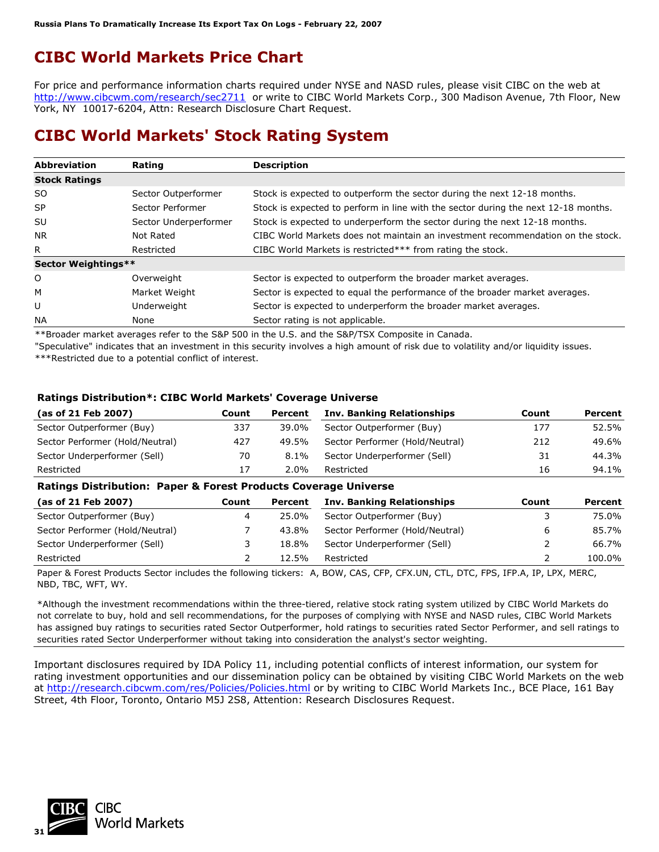# **CIBC World Markets Price Chart**

For price and performance information charts required under NYSE and NASD rules, please visit CIBC on the web at <http://www.cibcwm.com/research/sec2711> or write to CIBC World Markets Corp., 300 Madison Avenue, 7th Floor, New York, NY 10017-6204, Attn: Research Disclosure Chart Request.

### **CIBC World Markets' Stock Rating System**

| <b>Abbreviation</b>  | Rating                | <b>Description</b>                                                                 |
|----------------------|-----------------------|------------------------------------------------------------------------------------|
| <b>Stock Ratings</b> |                       |                                                                                    |
| S <sub>O</sub>       | Sector Outperformer   | Stock is expected to outperform the sector during the next 12-18 months.           |
| <b>SP</b>            | Sector Performer      | Stock is expected to perform in line with the sector during the next 12-18 months. |
| SU                   | Sector Underperformer | Stock is expected to underperform the sector during the next 12-18 months.         |
| NR.                  | Not Rated             | CIBC World Markets does not maintain an investment recommendation on the stock.    |
| R                    | Restricted            | CIBC World Markets is restricted*** from rating the stock.                         |
| Sector Weightings**  |                       |                                                                                    |
| $\circ$              | Overweight            | Sector is expected to outperform the broader market averages.                      |
| M                    | Market Weight         | Sector is expected to equal the performance of the broader market averages.        |
| U                    | Underweight           | Sector is expected to underperform the broader market averages.                    |
| <b>NA</b>            | None                  | Sector rating is not applicable.                                                   |

\*\*Broader market averages refer to the S&P 500 in the U.S. and the S&P/TSX Composite in Canada.

"Speculative" indicates that an investment in this security involves a high amount of risk due to volatility and/or liquidity issues. \*\*\*Restricted due to a potential conflict of interest.

#### **Ratings Distribution\*: CIBC World Markets' Coverage Universe**

| (as of 21 Feb 2007)             | Count | Percent | <b>Inv. Banking Relationships</b> | Count | Percent |
|---------------------------------|-------|---------|-----------------------------------|-------|---------|
| Sector Outperformer (Buy)       | 337   | 39.0%   | Sector Outperformer (Buy)         | 177   | 52.5%   |
| Sector Performer (Hold/Neutral) | 427   | 49.5%   | Sector Performer (Hold/Neutral)   | 212   | 49.6%   |
| Sector Underperformer (Sell)    | 70    | $8.1\%$ | Sector Underperformer (Sell)      | 31    | 44.3%   |
| Restricted                      | 17    | $2.0\%$ | Restricted                        | 16    | 94.1%   |

#### **Ratings Distribution: Paper & Forest Products Coverage Universe**

| (as of 21 Feb 2007)             | Count | Percent | <b>Inv. Banking Relationships</b> | Count | Percent |
|---------------------------------|-------|---------|-----------------------------------|-------|---------|
| Sector Outperformer (Buy)       |       | 25.0%   | Sector Outperformer (Buy)         |       | 75.0%   |
| Sector Performer (Hold/Neutral) |       | 43.8%   | Sector Performer (Hold/Neutral)   | 6     | 85.7%   |
| Sector Underperformer (Sell)    |       | 18.8%   | Sector Underperformer (Sell)      |       | 66.7%   |
| Restricted                      |       | 12.5%   | Restricted                        |       | 100.0%  |

Paper & Forest Products Sector includes the following tickers: A, BOW, CAS, CFP, CFX.UN, CTL, DTC, FPS, IFP.A, IP, LPX, MERC, NBD, TBC, WFT, WY.

\*Although the investment recommendations within the three-tiered, relative stock rating system utilized by CIBC World Markets do not correlate to buy, hold and sell recommendations, for the purposes of complying with NYSE and NASD rules, CIBC World Markets has assigned buy ratings to securities rated Sector Outperformer, hold ratings to securities rated Sector Performer, and sell ratings to securities rated Sector Underperformer without taking into consideration the analyst's sector weighting.

Important disclosures required by IDA Policy 11, including potential conflicts of interest information, our system for rating investment opportunities and our dissemination policy can be obtained by visiting CIBC World Markets on the web at<http://research.cibcwm.com/res/Policies/Policies.html> or by writing to CIBC World Markets Inc., BCE Place, 161 Bay Street, 4th Floor, Toronto, Ontario M5J 2S8, Attention: Research Disclosures Request.